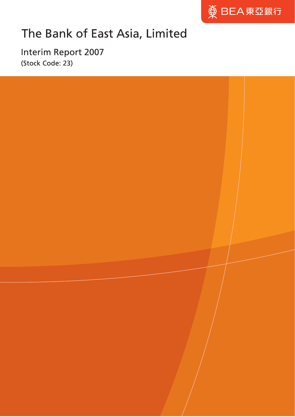

# The Bank of East Asia, Limited

Interim Report 2007 (Stock Code: 23)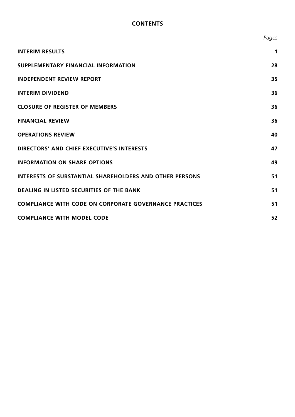# **CONTENTS**

|                                                                | Pages |
|----------------------------------------------------------------|-------|
| <b>INTERIM RESULTS</b>                                         | 1     |
| SUPPLEMENTARY FINANCIAL INFORMATION                            | 28    |
| <b>INDEPENDENT REVIEW REPORT</b>                               | 35    |
| <b>INTERIM DIVIDEND</b>                                        | 36    |
| <b>CLOSURE OF REGISTER OF MEMBERS</b>                          | 36    |
| <b>FINANCIAL REVIEW</b>                                        | 36    |
| <b>OPERATIONS REVIEW</b>                                       | 40    |
| <b>DIRECTORS' AND CHIEF EXECUTIVE'S INTERESTS</b>              | 47    |
| <b>INFORMATION ON SHARE OPTIONS</b>                            | 49    |
| <b>INTERESTS OF SUBSTANTIAL SHAREHOLDERS AND OTHER PERSONS</b> | 51    |
| <b>DEALING IN LISTED SECURITIES OF THE BANK</b>                | 51    |
| <b>COMPLIANCE WITH CODE ON CORPORATE GOVERNANCE PRACTICES</b>  | 51    |
| <b>COMPLIANCE WITH MODEL CODE</b>                              | 52    |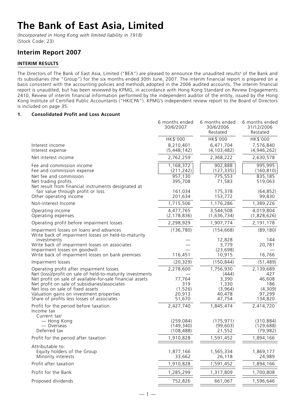# **The Bank of East Asia, Limited**

*(Incorporated in Hong Kong with limited liability in 1918)* (Stock Code: 23)

# **Interim Report 2007**

# **INTERIM RESULTS**

The Directors of The Bank of East Asia, Limited ("BEA") are pleased to announce the unaudited resultsª of the Bank and its subsidiaries (the "Group") for the six months ended 30th June, 2007. The interim financial report is prepared on a basis consistent with the accounting policies and methods adopted in the 2006 audited accounts. The interim financial report is unaudited, but has been reviewed by KPMG, in accordance with Hong Kong Standard on Review Engagements 2410, Review of interim financial information performed by the independent auditor of the entity, issued by the Hong Kong Institute of Certified Public Accountants ("HKICPA"). KPMG's independent review report to the Board of Directors is included on page 35.

# **1. Consolidated Profit and Loss Account**

|                                                                                                                                                                                                                                                                                                                                                   | 6 months ended<br>30/6/2007                                | 6 months ended<br>30/6/2006<br>Restated                             | 6 months ended<br>31/12/2006<br>Restated                          |
|---------------------------------------------------------------------------------------------------------------------------------------------------------------------------------------------------------------------------------------------------------------------------------------------------------------------------------------------------|------------------------------------------------------------|---------------------------------------------------------------------|-------------------------------------------------------------------|
|                                                                                                                                                                                                                                                                                                                                                   | HK\$'000                                                   | HK\$'000                                                            | HK\$'000                                                          |
| Interest income<br>Interest expense                                                                                                                                                                                                                                                                                                               | 8,210,401<br>(5,448,142)                                   | 6,471,704<br>(4, 103, 482)                                          | 7,576,840<br>(4,946,262)                                          |
| Net interest income                                                                                                                                                                                                                                                                                                                               | 2,762,259                                                  | 2,368,222                                                           | 2,630,578                                                         |
| Fee and commission income<br>Fee and commission expense                                                                                                                                                                                                                                                                                           | 1,168,372<br>(211, 242)                                    | 902,888<br>(127, 335)                                               | 995,995<br>(160, 810)                                             |
| Net fee and commission<br>Net trading profits<br>Net result from financial instruments designated at                                                                                                                                                                                                                                              | 957,130<br>395,708                                         | 775,553<br>71,583                                                   | 835,185<br>519,063                                                |
| fair value through profit or loss<br>Other operating income                                                                                                                                                                                                                                                                                       | 161,034<br>201,634                                         | 175,378<br>153,772                                                  | (64, 852)<br>99,830                                               |
| Non-interest Income                                                                                                                                                                                                                                                                                                                               | 1,715,506                                                  | 1,176,286                                                           | 1,389,226                                                         |
| Operating income<br>Operating expenses                                                                                                                                                                                                                                                                                                            | 4,477,765<br>(2, 178, 836)                                 | 3,544,508<br>(1,636,734)                                            | 4,019,804<br>(1,828,626)                                          |
| Operating profit before impairment losses                                                                                                                                                                                                                                                                                                         | 2,298,929                                                  | 1,907,774                                                           | 2,191,178                                                         |
| Impairment losses on loans and advances<br>Write back of impairment losses on held-to-maturity                                                                                                                                                                                                                                                    | (136, 780)                                                 | (154, 668)                                                          | (89, 180)                                                         |
| investments<br>Write back of impairment losses on associates<br>Impairment losses on goodwill                                                                                                                                                                                                                                                     |                                                            | 12,828<br>3,779<br>(23, 698)                                        | 144<br>20,781                                                     |
| Write back of impairment losses on bank premises                                                                                                                                                                                                                                                                                                  | 116,451                                                    | 10,915                                                              | 16,766                                                            |
| Impairment losses                                                                                                                                                                                                                                                                                                                                 | (20, 329)                                                  | (150, 844)                                                          | (51, 489)                                                         |
| Operating profit after impairment losses<br>Net (loss)/profit on sale of held-to-maturity investments<br>Net profit on sale of available-for-sale financial assets<br>Net profit on sale of subsidiaries/associates<br>Net loss on sale of fixed assets<br>Valuation gains on investment properties<br>Share of profits less losses of associates | 2,278,600<br>77,764<br>319<br>(1, 526)<br>20,913<br>51,670 | 1,756,930<br>(444)<br>3,390<br>1,330<br>(3,964)<br>40,478<br>47,754 | 2,139,689<br>427<br>46,608<br>186<br>(4,309)<br>97,299<br>134,820 |
| Profit for the period before taxation<br>Income tax<br>Current tax $c$<br>- Hong Kong<br>— Overseas<br>Deferred tax                                                                                                                                                                                                                               | 2,427,740<br>(259, 084)<br>(149, 340)<br>(108, 488)        | 1,845,474<br>(175, 971)<br>(99, 603)<br>21,552                      | 2,414,720<br>(310, 884)<br>(129, 688)<br>(79, 982)                |
| Profit for the period after taxation                                                                                                                                                                                                                                                                                                              | 1,910,828                                                  | 1,591,452                                                           | 1,894,166                                                         |
| Attributable to:<br>Equity holders of the Group<br>Minority interests                                                                                                                                                                                                                                                                             | 1,877,166<br>33,662                                        | 1,565,334<br>26,118                                                 | 1,869,177<br>24,989                                               |
| Profit after taxation                                                                                                                                                                                                                                                                                                                             | 1,910,828                                                  | 1,591,452                                                           | 1,894,166                                                         |
| Profit for the Bank                                                                                                                                                                                                                                                                                                                               | 1,285,299                                                  | 1,317,809                                                           | 1,700,808                                                         |
| Proposed dividends                                                                                                                                                                                                                                                                                                                                | 752,826                                                    | 661,067                                                             | 1,596,646                                                         |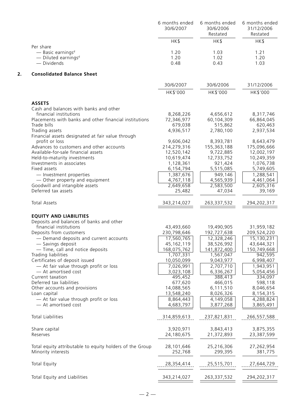|                                                                                                | 6 months ended<br>30/6/2007 | 6 months ended<br>30/6/2006<br>Restated | 6 months ended<br>31/12/2006<br>Restated |
|------------------------------------------------------------------------------------------------|-----------------------------|-----------------------------------------|------------------------------------------|
|                                                                                                | HK\$                        | HK\$                                    | HK\$                                     |
| Per share<br>- Basic earnings <sup>d</sup><br>$-$ Diluted earnings <sup>d</sup><br>- Dividends | 1.20<br>1.20<br>0.48        | 1.03<br>1.02<br>0.43                    | 1.21<br>1.20<br>1.03                     |
| <b>Consolidated Balance Sheet</b>                                                              |                             |                                         |                                          |
|                                                                                                | 30/6/2007                   | 30/6/2006                               | 31/12/2006                               |
|                                                                                                | HK\$'000                    | HK\$'000                                | HK\$'000                                 |
| <b>ASSETS</b>                                                                                  |                             |                                         |                                          |
| Cash and balances with banks and other<br>financial institutions                               | 8,268,226                   | 4,656,612                               | 8,317,746                                |
| Placements with banks and other financial institutions                                         | 72,346,977                  | 60,104,309                              | 66,864,045                               |
| Trade bills                                                                                    | 679,038                     | 515,862                                 | 620,463                                  |
| Trading assets                                                                                 | 4,936,517                   | 2,780,100                               | 2,937,534                                |
| Financial assets designated at fair value through                                              |                             |                                         |                                          |
| profit or loss                                                                                 | 9,606,042                   | 8,393,781                               | 8,643,479                                |
| Advances to customers and other accounts                                                       | 214,279,316                 | 155,363,188                             | 175,096,666                              |
| Available-for-sale financial assets                                                            | 12,520,142                  | 9,722,885                               | 12,002,197                               |
| Held-to-maturity investments<br>Investments in associates                                      | 10,619,474<br>1,128,361     | 12,733,752<br>921,424                   | 10,249,359<br>1,076,738                  |
| Fixed assets                                                                                   | 6,154,794                   | 5,515,085                               | 5,749,605                                |
| - Investment properties                                                                        | 1,387,676                   | 949,146                                 | 1,288,541                                |
| - Other property and equipment                                                                 | 4,767,118                   | 4,565,939                               | 4,461,064                                |
| Goodwill and intangible assets                                                                 | 2,649,658                   | 2,583,500                               | 2,605,316                                |
| Deferred tax assets                                                                            | 25,482                      | 47,034                                  | 39,169                                   |
| <b>Total Assets</b>                                                                            | 343,214,027                 | 263,337,532                             | 294,202,317                              |
| <b>EQUITY AND LIABILITIES</b>                                                                  |                             |                                         |                                          |
| Deposits and balances of banks and other                                                       |                             |                                         |                                          |
| financial institutions                                                                         | 43,493,660                  | 19,490,905                              | 31,959,182                               |
| Deposits from customers                                                                        | 230,798,646                 | 192,727,638                             | 209,524,220                              |
| - Demand deposits and current accounts                                                         | 17,560,765                  | 12,328,246                              | 15,130,231                               |
| - Savings deposit                                                                              | 45, 162, 119                | 38,526,992                              | 43,644,321                               |
| - Time, call and notice deposits                                                               | 168,075,762                 | 141,872,400                             | 150,749,668                              |
| Trading liabilities                                                                            | 1,707,331                   | 1,567,047                               | 942,595                                  |
| Certificates of deposit issued                                                                 | 10,050,099                  | 9,043,977                               | 6,998,407                                |
| - At fair value through profit or loss                                                         | 7,026,991                   | 2,707,710                               | 1,943,951                                |
| - At amortised cost                                                                            | 3,023,108                   | 6,336,267                               | 5,054,456                                |
| Current taxation<br>Deferred tax liabilities                                                   | 495,452<br>677,620          | 388,413<br>466,015                      | 334,097<br>598,118                       |
| Other accounts and provisions                                                                  | 14,088,565                  | 6,111,510                               | 8,046,654                                |
| Loan capital                                                                                   | 13,548,240                  | 8,026,326                               | 8,154,315                                |
| - At fair value through profit or loss                                                         | 8,864,443                   | 4,149,058                               | 4,288,824                                |
| - At amortised cost                                                                            | 4,683,797                   | 3,877,268                               | 3,865,491                                |
| <b>Total Liabilities</b>                                                                       | 314,859,613                 | 237,821,831                             | 266,557,588                              |
| Share capital                                                                                  | 3,920,971                   | 3,843,413                               | 3,875,355                                |
| Reserves                                                                                       | 24,180,675                  | 21,372,893                              | 23,387,599                               |
| Total equity attributable to equity holders of the Group                                       | 28,101,646                  | 25,216,306                              | 27,262,954                               |
| Minority interests                                                                             | 252,768                     | 299,395                                 | 381,775                                  |
| <b>Total Equity</b>                                                                            | 28,354,414                  | 25,515,701                              | 27,644,729                               |
| Total Equity and Liabilities                                                                   | 343,214,027                 | 263, 337, 532                           | 294,202,317                              |
|                                                                                                |                             |                                         |                                          |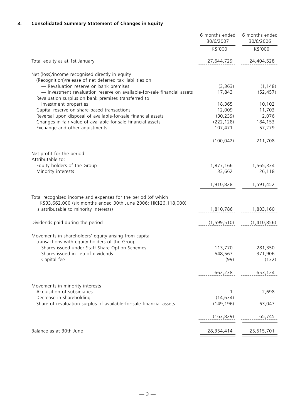# **3. Consolidated Summary Statement of Changes in Equity**

|                                                                                                                                                                                                                                      | 6 months ended<br>30/6/2007 | 6 months ended<br>30/6/2006 |
|--------------------------------------------------------------------------------------------------------------------------------------------------------------------------------------------------------------------------------------|-----------------------------|-----------------------------|
|                                                                                                                                                                                                                                      | HK\$'000                    | HK\$'000                    |
| Total equity as at 1st January                                                                                                                                                                                                       | 27,644,729                  | 24,404,528                  |
| Net (loss)/income recognised directly in equity                                                                                                                                                                                      |                             |                             |
| (Recognition)/release of net deferred tax liabilities on<br>- Revaluation reserve on bank premises<br>- Investment revaluation reserve on available-for-sale financial assets<br>Revaluation surplus on bank premises transferred to | (3, 363)<br>17,843          | (1, 148)<br>(52, 457)       |
| investment properties                                                                                                                                                                                                                | 18,365                      | 10,102                      |
| Capital reserve on share-based transactions                                                                                                                                                                                          | 12,009                      | 11,703                      |
| Reversal upon disposal of available-for-sale financial assets                                                                                                                                                                        | (30, 239)                   | 2,076                       |
| Changes in fair value of available-for-sale financial assets<br>Exchange and other adjustments                                                                                                                                       | (222, 128)<br>107,471       | 184,153<br>57,279           |
|                                                                                                                                                                                                                                      | (100, 042)                  | 211,708                     |
| Net profit for the period                                                                                                                                                                                                            |                             |                             |
| Attributable to:                                                                                                                                                                                                                     |                             |                             |
| Equity holders of the Group                                                                                                                                                                                                          | 1,877,166                   | 1,565,334                   |
| Minority interests                                                                                                                                                                                                                   | 33,662                      | 26,118                      |
|                                                                                                                                                                                                                                      | 1,910,828                   | 1,591,452                   |
| Total recognised income and expenses for the period (of which                                                                                                                                                                        |                             |                             |
| HK\$33,662,000 (six months ended 30th June 2006: HK\$26,118,000)<br>is attributable to minority interests)                                                                                                                           | 1,810,786                   | 1,803,160                   |
| Dividends paid during the period                                                                                                                                                                                                     | (1,599,510)                 | (1,410,856)                 |
| Movements in shareholders' equity arising from capital<br>transactions with equity holders of the Group:                                                                                                                             |                             |                             |
| Shares issued under Staff Share Option Schemes                                                                                                                                                                                       | 113,770                     | 281,350                     |
| Shares issued in lieu of dividends                                                                                                                                                                                                   | 548,567                     | 371,906                     |
| Capital fee                                                                                                                                                                                                                          | (99)                        | (132)                       |
|                                                                                                                                                                                                                                      | 662,238                     | 653,124                     |
| Movements in minority interests                                                                                                                                                                                                      |                             |                             |
| Acquisition of subsidiaries                                                                                                                                                                                                          | 1                           | 2,698                       |
| Decrease in shareholding<br>Share of revaluation surplus of available-for-sale financial assets                                                                                                                                      | (14, 634)<br>(149, 196)     | 63,047                      |
|                                                                                                                                                                                                                                      |                             |                             |
|                                                                                                                                                                                                                                      | (163, 829)                  | 65,745                      |
| Balance as at 30th June                                                                                                                                                                                                              | 28,354,414                  | 25,515,701                  |
|                                                                                                                                                                                                                                      |                             |                             |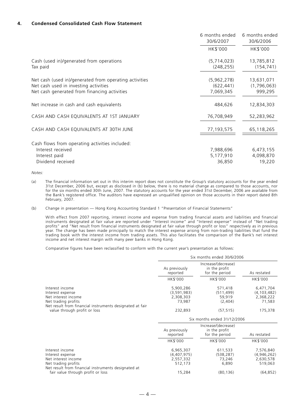# **4. Condensed Consolidated Cash Flow Statement**

|                                                                                                                                                 | 6 months ended<br>30/6/2007            | 6 months ended<br>30/6/2006          |
|-------------------------------------------------------------------------------------------------------------------------------------------------|----------------------------------------|--------------------------------------|
|                                                                                                                                                 | HK\$'000                               | HK\$'000                             |
| Cash (used in)/generated from operations<br>Tax paid                                                                                            | (5,714,023)<br>(248, 255)              | 13,785,812<br>(154, 741)             |
| Net cash (used in)/generated from operating activities<br>Net cash used in investing activities<br>Net cash generated from financing activities | (5,962,278)<br>(622, 441)<br>7,069,345 | 13,631,071<br>(1,796,063)<br>999,295 |
| Net increase in cash and cash equivalents                                                                                                       | 484,626                                | 12,834,303                           |
| CASH AND CASH EQUIVALENTS AT 1ST JANUARY                                                                                                        | 76,708,949                             | 52,283,962                           |
| CASH AND CASH EQUIVALENTS AT 30TH JUNE                                                                                                          | 77,193,575                             | 65,118,265                           |
| Cash flows from operating activities included:                                                                                                  |                                        |                                      |
| Interest received                                                                                                                               | 7,988,696                              | 6,473,155                            |
| Interest paid                                                                                                                                   | 5,177,910                              | 4,098,870                            |
| Dividend received                                                                                                                               | 36,850                                 | 19,220                               |

*Notes:*

(a) The financial information set out in this interim report does not constitute the Group's statutory accounts for the year ended 31st December, 2006 but, except as disclosed in (b) below, there is no material change as compared to those accounts, nor for the six months ended 30th June, 2007. The statutory accounts for the year ended 31st December, 2006 are available from the Bank's registered office. The auditors have expressed an unqualified opinion on those accounts in their report dated 8th February, 2007.

(b) Change in presentation — Hong Kong Accounting Standard 1 "Presentation of Financial Statements"

With effect from 2007 reporting, interest income and expense from trading financial assets and liabilities and financial instruments designated at fair value are reported under "Interest income" and "Interest expense" instead of "Net trading profits" and "Net result from financial instruments designated at fair value through profit or loss" respectively as in previous year. The change has been made principally to match the interest expense arising from non-trading liabilities that fund the trading book with the interest income from trading assets. This also facilitates the comparison of the Bank's net interest income and net interest margin with many peer banks in Hong Kong.

Comparative figures have been reclassified to conform with the current year's presentation as follows:

|                                                                                                                                               |                                                  | Six months ended 30/6/2006                             |                                                   |
|-----------------------------------------------------------------------------------------------------------------------------------------------|--------------------------------------------------|--------------------------------------------------------|---------------------------------------------------|
|                                                                                                                                               | As previously<br>reported                        | Increase/(decrease)<br>in the profit<br>for the period | As restated                                       |
|                                                                                                                                               | HK\$'000                                         | HK\$'000                                               | HK\$'000                                          |
| Interest income<br>Interest expense<br>Net interest income<br>Net trading profits<br>Net result from financial instruments designated at fair | 5,900,286<br>(3,591,983)<br>2,308,303<br>73,987  | 571,418<br>(511, 499)<br>59,919<br>(2,404)             | 6,471,704<br>(4, 103, 482)<br>2,368,222<br>71,583 |
| value through profit or loss                                                                                                                  | 232,893                                          | (57, 515)                                              | 175,378                                           |
|                                                                                                                                               |                                                  | Six months ended 31/12/2006                            |                                                   |
|                                                                                                                                               |                                                  |                                                        |                                                   |
|                                                                                                                                               | As previously<br>reported                        | Increase/(decrease)<br>in the profit<br>for the period | As restated                                       |
|                                                                                                                                               | HK\$'000                                         | HK\$'000                                               | HK\$'000                                          |
| Interest income<br>Interest expense<br>Net interest income<br>Net trading profits<br>Net result from financial instruments designated at      | 6,965,307<br>(4,407,975)<br>2,557,332<br>512,173 | 611,533<br>(538, 287)<br>73,246<br>6,890               | 7,576,840<br>(4,946,262)<br>2,630,578<br>519,063  |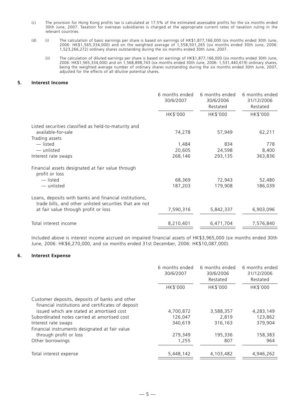- (c) The provision for Hong Kong profits tax is calculated at 17.5% of the estimated assessable profits for the six months ended 30th June, 2007. Taxation for overseas subsidiaries is charged at the appropriate current rates of taxation ruling in the relevant countries.
- (d) (i) The calculation of basic earnings per share is based on earnings of HK\$1,877,166,000 (six months ended 30th June, 2006: HK\$1,565,334,000) and on the weighted average of 1,558,501,265 (six months ended 30th June, 2006: 1,523,266,272) ordinary shares outstanding during the six months ended 30th June, 2007.
	- (ii) The calculation of diluted earnings per share is based on earnings of HK\$1,877,166,000 (six months ended 30th June, 2006: HK\$1,565,334,000) and on 1,568,898,743 (six months ended 30th June, 2006: 1,531,440,619) ordinary shares, being the weighted average number of ordinary shares outstanding during the six months ended 30th June, 2007, adjusted for the effects of all dilutive potential shares.

# **5. Interest Income**

|                                                                                                                   | 6 months ended<br>30/6/2007 | 6 months ended<br>30/6/2006<br>Restated | 6 months ended<br>31/12/2006<br>Restated |
|-------------------------------------------------------------------------------------------------------------------|-----------------------------|-----------------------------------------|------------------------------------------|
|                                                                                                                   | HK\$'000                    | HK\$'000                                | HK\$'000                                 |
| Listed securities classified as held-to-maturity and                                                              |                             |                                         |                                          |
| available-for-sale                                                                                                | 74,278                      | 57,949                                  | 62,211                                   |
| Trading assets                                                                                                    |                             |                                         |                                          |
| — listed                                                                                                          | 1,484                       | 834                                     | 778                                      |
| — unlisted                                                                                                        | 20,605                      | 24,598                                  | 8,400                                    |
| Interest rate swaps                                                                                               | 268,146                     | 293,135                                 | 363,836                                  |
| Financial assets designated at fair value through<br>profit or loss                                               |                             |                                         |                                          |
| — listed                                                                                                          | 68,369                      | 72,943                                  | 52,480                                   |
| - unlisted                                                                                                        | 187,203                     | 179,908                                 | 186,039                                  |
| Loans, deposits with banks and financial institutions,<br>trade bills, and other unlisted securities that are not |                             |                                         |                                          |
| at fair value through profit or loss                                                                              | 7,590,316                   | 5,842,337                               | 6,903,096                                |
| Total interest income                                                                                             | 8,210,401                   | 6,471,704                               | 7,576,840                                |

Included above is interest income accrued on impaired financial assets of HK\$3,965,000 (six months ended 30th June, 2006: HK\$6,270,000, and six months ended 31st December, 2006: HK\$10,087,000).

#### **6. Interest Expense**

|                                                                                                      | 6 months ended<br>30/6/2007 | 6 months ended<br>30/6/2006<br>Restated | 6 months ended<br>31/12/2006<br>Restated |
|------------------------------------------------------------------------------------------------------|-----------------------------|-----------------------------------------|------------------------------------------|
|                                                                                                      | HK\$'000                    | HK\$'000                                | HK\$'000                                 |
| Customer deposits, deposits of banks and other<br>financial institutions and certificates of deposit |                             |                                         |                                          |
| issued which are stated at amortised cost                                                            | 4,700,872                   | 3,588,357                               | 4,283,149                                |
| Subordinated notes carried at amortised cost                                                         | 126,047                     | 2,819                                   | 123,862                                  |
| Interest rate swaps                                                                                  | 340,619                     | 316,163                                 | 379.904                                  |
| Financial instruments designated at fair value                                                       |                             |                                         |                                          |
| through profit or loss                                                                               | 279,349                     | 195,336                                 | 158,383                                  |
| Other borrowings                                                                                     | 1,255                       | 807                                     | 964                                      |
| Total interest expense                                                                               | 5,448,142                   | 4,103,482                               | 4,946,262                                |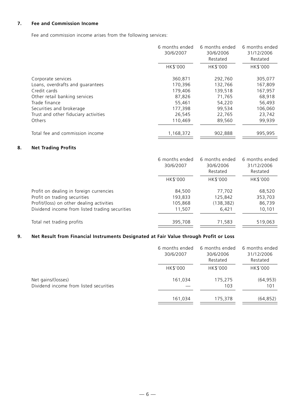# **7. Fee and Commission Income**

Fee and commission income arises from the following services:

|                                      | 6 months ended<br>30/6/2007 | 6 months ended<br>30/6/2006<br>Restated | 6 months ended<br>31/12/2006<br>Restated |
|--------------------------------------|-----------------------------|-----------------------------------------|------------------------------------------|
|                                      | HK\$'000                    | HK\$'000                                | HK\$'000                                 |
| Corporate services                   | 360,871                     | 292,760                                 | 305,077                                  |
| Loans, overdrafts and quarantees     | 170,396                     | 132,766                                 | 167,809                                  |
| Credit cards                         | 179,406                     | 139,518                                 | 167.957                                  |
| Other retail banking services        | 87,826                      | 71,765                                  | 68,918                                   |
| Trade finance                        | 55,461                      | 54,220                                  | 56,493                                   |
| Securities and brokerage             | 177,398                     | 99,534                                  | 106,060                                  |
| Trust and other fiduciary activities | 26,545                      | 22,765                                  | 23,742                                   |
| Others                               | 110,469                     | 89,560                                  | 99.939                                   |
| Total fee and commission income      | 1,168,372                   | 902,888                                 | 995.995                                  |

# **8. Net Trading Profits**

|                                                | 6 months ended<br>30/6/2007 | 6 months ended<br>30/6/2006<br>Restated | 6 months ended<br>31/12/2006<br>Restated |
|------------------------------------------------|-----------------------------|-----------------------------------------|------------------------------------------|
|                                                | HK\$'000                    | HK\$'000                                | HK\$'000                                 |
| Profit on dealing in foreign currencies        | 84,500                      | 77,702                                  | 68,520                                   |
| Profit on trading securities                   | 193,833                     | 125,842                                 | 353,703                                  |
| Profit/(loss) on other dealing activities      | 105,868                     | (138, 382)                              | 86,739                                   |
| Dividend income from listed trading securities | 11,507                      | 6,421                                   | 10,101                                   |
| Total net trading profits                      | 395,708                     | 71,583                                  | 519,063                                  |

# **9. Net Result from Financial Instruments Designated at Fair Value through Profit or Loss**

|                                                              | 6 months ended<br>30/6/2007 | 6 months ended<br>30/6/2006<br>Restated | 6 months ended<br>31/12/2006<br>Restated |
|--------------------------------------------------------------|-----------------------------|-----------------------------------------|------------------------------------------|
|                                                              | HK\$'000                    | HK\$'000                                | HK\$'000                                 |
| Net gains/(losses)<br>Dividend income from listed securities | 161,034                     | 175,275<br>103                          | (64, 953)<br>101                         |
|                                                              | 161,034                     | 175,378                                 | (64, 852)                                |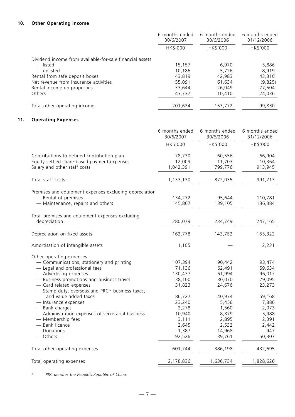# **10. Other Operating Income**

|                                                          | 6 months ended<br>30/6/2007 | 6 months ended<br>30/6/2006 | 6 months ended<br>31/12/2006 |
|----------------------------------------------------------|-----------------------------|-----------------------------|------------------------------|
|                                                          | HK\$'000                    | HK\$'000                    | HK\$'000                     |
| Dividend income from available-for-sale financial assets |                             |                             |                              |
| — listed                                                 | 15,157                      | 6,970                       | 5,886                        |
| — unlisted                                               | 10.186                      | 5.726                       | 8.919                        |
| Rental from safe deposit boxes                           | 43,819                      | 42.983                      | 43,310                       |
| Net revenue from insurance activities                    | 55,091                      | 61,634                      | (9,825)                      |
| Rental income on properties                              | 33,644                      | 26,049                      | 27,504                       |
| <b>Others</b>                                            | 43,737                      | 10,410                      | 24,036                       |
| Total other operating income                             | 201,634                     | 153,772                     | 99,830                       |

# **11. Operating Expenses**

|                                                                          | 6 months ended<br>30/6/2007 | 6 months ended<br>30/6/2006 | 6 months ended<br>31/12/2006 |
|--------------------------------------------------------------------------|-----------------------------|-----------------------------|------------------------------|
|                                                                          | HK\$'000                    | HK\$'000                    | HK\$'000                     |
| Contributions to defined contribution plan                               | 78,730                      | 60,556                      | 66,904                       |
| Equity-settled share-based payment expenses                              | 12,009                      | 11,703                      | 10,364                       |
| Salary and other staff costs                                             | 1,042,391                   | 799,776                     | 913,945                      |
| Total staff costs                                                        | 1,133,130                   | 872,035                     | 991,213                      |
| Premises and equipment expenses excluding depreciation                   |                             |                             |                              |
| - Rental of premises                                                     | 134,272                     | 95,644                      | 110,781                      |
| - Maintenance, repairs and others                                        | 145,807                     | 139,105                     | 136,384                      |
| Total premises and equipment expenses excluding                          |                             |                             |                              |
| depreciation                                                             | 280,079                     | 234,749                     | 247,165                      |
| Depreciation on fixed assets                                             | 162,778                     | 143,752                     | 155,322                      |
| Amortisation of intangible assets                                        | 1,105                       |                             | 2,231                        |
| Other operating expenses                                                 |                             |                             |                              |
| - Communications, stationery and printing                                | 107,394                     | 90,442                      | 93,474                       |
| - Legal and professional fees                                            | 71,136                      | 62,491                      | 59,634                       |
| - Advertising expenses                                                   | 130,437                     | 61,994                      | 96,017                       |
| - Business promotions and business travel                                | 38,100                      | 30,070                      | 29,095                       |
| - Card related expenses                                                  | 31,823                      | 24,676                      | 23,273                       |
| - Stamp duty, overseas and PRC* business taxes,<br>and value added taxes | 86,727                      | 40,974                      | 59,168                       |
| - Insurance expenses                                                     | 23,240                      | 5,456                       | 7,886                        |
| - Bank charges                                                           | 2,278                       | 1,560                       | 2,073                        |
| - Administration expenses of secretarial business                        | 10,940                      | 8,379                       | 5,988                        |
| - Membership fees                                                        | 3,111                       | 2,895                       | 2,391                        |
| - Bank licence                                                           | 2,645                       | 2,532                       | 2,442                        |
| - Donations                                                              | 1,387                       | 14,968                      | 947                          |
| - Others                                                                 | 92,526                      | 39,761                      | 50,307                       |
| Total other operating expenses                                           | 601,744                     | 386,198                     | 432,695                      |
| Total operating expenses                                                 | 2,178,836                   | 1,636,734                   | 1,828,626                    |
|                                                                          |                             |                             |                              |

*\* PRC denotes the People's Republic of China.*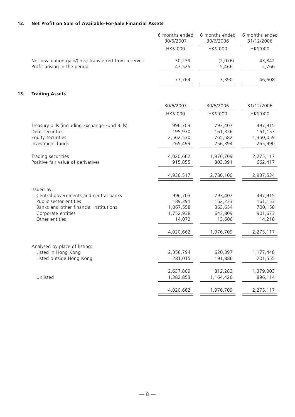# **12. Net Profit on Sale of Available-For-Sale Financial Assets**

|     |                                                       | 6 months ended<br>30/6/2007 | 6 months ended<br>30/6/2006 | 6 months ended<br>31/12/2006 |
|-----|-------------------------------------------------------|-----------------------------|-----------------------------|------------------------------|
|     |                                                       | HK\$'000                    | HK\$'000                    | HK\$'000                     |
|     | Net revaluation gain/(loss) transferred from reserves | 30,239                      | (2,076)                     | 43,842                       |
|     | Profit arising in the period                          | 47,525                      | 5,466                       | 2,766                        |
|     |                                                       | 77,764                      | 3,390                       | 46,608                       |
| 13. | <b>Trading Assets</b>                                 |                             |                             |                              |
|     |                                                       | 30/6/2007                   | 30/6/2006                   | 31/12/2006                   |
|     |                                                       | HK\$'000                    | HK\$'000                    | HK\$'000                     |
|     | Treasury bills (including Exchange Fund Bills)        | 996,703                     | 793,407                     | 497,915                      |
|     | Debt securities                                       | 195,930                     | 161,326                     | 161,153                      |
|     | Equity securities                                     | 2,562,530                   | 765,582                     | 1,350,059                    |
|     | Investment funds                                      | 265,499                     | 256,394                     | 265,990                      |
|     | Trading securities                                    | 4,020,662                   | 1,976,709                   | 2,275,117                    |
|     | Positive fair value of derivatives                    | 915,855                     | 803,391                     | 662,417                      |
|     |                                                       | 4,936,517                   | 2,780,100                   | 2,937,534                    |
|     | Issued by:                                            |                             |                             |                              |
|     | Central governments and central banks                 | 996,703                     | 793,407                     | 497,915                      |
|     | Public sector entities                                | 189,391                     | 162,233                     | 161,153                      |
|     | Banks and other financial institutions                | 1,067,558                   | 363,654                     | 700,158                      |
|     | Corporate entities                                    | 1,752,938                   | 643,809                     | 901,673                      |
|     | Other entities                                        | 14,072                      | 13,606                      | 14,218                       |
|     |                                                       | 4,020,662                   | 1,976,709                   | 2,275,117                    |
|     |                                                       |                             |                             |                              |
|     | Analysed by place of listing:                         |                             |                             |                              |
|     | Listed in Hong Kong                                   | 2,356,794                   | 620,397                     | 1,177,448                    |
|     | Listed outside Hong Kong                              | 281,015                     | 191,886                     | 201,555                      |
|     |                                                       | 2,637,809                   | 812,283                     | 1,379,003                    |
|     | Unlisted                                              | 1,382,853                   | 1,164,426                   | 896,114                      |
|     |                                                       | 4,020,662                   | 1,976,709                   | 2,275,117                    |
|     |                                                       |                             |                             |                              |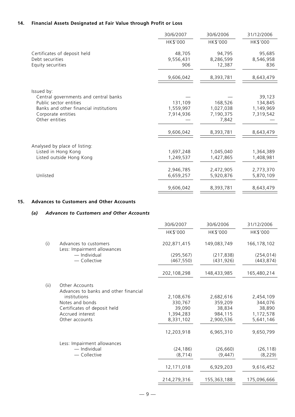# **14. Financial Assets Designated at Fair Value through Profit or Loss**

|                                                                                                                                                                 | 30/6/2007                                        | 30/6/2006                                               | 31/12/2006                                               |
|-----------------------------------------------------------------------------------------------------------------------------------------------------------------|--------------------------------------------------|---------------------------------------------------------|----------------------------------------------------------|
|                                                                                                                                                                 | HK\$'000                                         | HK\$'000                                                | HK\$'000                                                 |
| Certificates of deposit held<br>Debt securities<br>Equity securities                                                                                            | 48,705<br>9,556,431<br>906                       | 94,795<br>8,286,599<br>12,387                           | 95,685<br>8,546,958<br>836                               |
|                                                                                                                                                                 | 9,606,042                                        | 8,393,781                                               | 8,643,479                                                |
| Issued by:<br>Central governments and central banks<br>Public sector entities<br>Banks and other financial institutions<br>Corporate entities<br>Other entities | 131,109<br>1,559,997<br>7,914,936<br>9,606,042   | 168,526<br>1,027,038<br>7,190,375<br>7,842<br>8,393,781 | 39,123<br>134,845<br>1,149,969<br>7,319,542<br>8,643,479 |
| Analysed by place of listing:<br>Listed in Hong Kong<br>Listed outside Hong Kong<br>Unlisted                                                                    | 1,697,248<br>1,249,537<br>2,946,785<br>6,659,257 | 1,045,040<br>1,427,865<br>2,472,905<br>5,920,876        | 1,364,389<br>1,408,981<br>2,773,370<br>5,870,109         |
|                                                                                                                                                                 | 9,606,042                                        | 8,393,781                                               | 8,643,479                                                |

# **15. Advances to Customers and Other Accounts**

# *(a) Advances to Customers and Other Accounts*

|       |                                                                | 30/6/2007   | 30/6/2006   | 31/12/2006    |
|-------|----------------------------------------------------------------|-------------|-------------|---------------|
|       |                                                                | HK\$'000    | HK\$'000    | HK\$'000      |
| (i)   | Advances to customers<br>Less: Impairment allowances           | 202,871,415 | 149,083,749 | 166, 178, 102 |
|       | - Individual                                                   | (295, 567)  | (217, 838)  | (254, 014)    |
|       | - Collective                                                   | (467, 550)  | (431, 926)  | (443, 874)    |
|       |                                                                | 202,108,298 | 148,433,985 | 165,480,214   |
| (iii) | <b>Other Accounts</b><br>Advances to banks and other financial |             |             |               |
|       | institutions                                                   | 2,108,676   | 2,682,616   | 2,454,109     |
|       | Notes and bonds                                                | 330,767     | 359,209     | 344,076       |
|       | Certificates of deposit held                                   | 39,090      | 38,834      | 38,890        |
|       | Accrued interest                                               | 1,394,283   | 984.115     | 1,172,578     |
|       | Other accounts                                                 | 8,331,102   | 2,900,536   | 5,641,146     |
|       |                                                                | 12,203,918  | 6,965,310   | 9,650,799     |
|       | Less: Impairment allowances                                    |             |             |               |
|       | - Individual                                                   | (24, 186)   | (26, 660)   | (26, 118)     |
|       | - Collective                                                   | (8, 714)    | (9, 447)    | (8, 229)      |
|       |                                                                | 12,171,018  | 6,929,203   | 9,616,452     |
|       |                                                                | 214,279,316 | 155,363,188 | 175,096,666   |
|       |                                                                |             |             |               |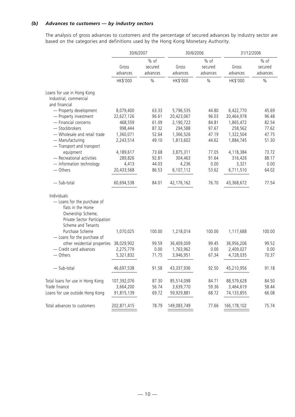# *(b) Advances to customers — by industry sectors*

The analysis of gross advances to customers and the percentage of secured advances by industry sector are based on the categories and definitions used by the Hong Kong Monetary Authority.

|                                                                                                                                            | 30/6/2007         |                               | 30/6/2006         |                               | 31/12/2006        |                               |
|--------------------------------------------------------------------------------------------------------------------------------------------|-------------------|-------------------------------|-------------------|-------------------------------|-------------------|-------------------------------|
|                                                                                                                                            | Gross<br>advances | $%$ of<br>secured<br>advances | Gross<br>advances | $%$ of<br>secured<br>advances | Gross<br>advances | $%$ of<br>secured<br>advances |
|                                                                                                                                            | HK\$'000          | $\%$                          | HK\$'000          | $\%$                          | HK\$'000          | $\%$                          |
| Loans for use in Hong Kong<br>Industrial, commercial<br>and financial                                                                      |                   |                               |                   |                               |                   |                               |
| - Property development                                                                                                                     | 8,079,400         | 63.33                         | 5,796,535         | 44.80                         | 6,422,770         | 45.69                         |
| - Property investment                                                                                                                      | 22,627,126        | 96.61                         | 20,423,067        | 96.03                         | 20,464,978        | 96.48                         |
| - Financial concerns                                                                                                                       | 468,559           | 61.09                         | 2,190,722         | 84.81                         | 1,865,472         | 82.54                         |
| - Stockbrokers                                                                                                                             | 998,444           | 87.32                         | 294,588           | 97.67                         | 258,562           | 77.62                         |
| - Wholesale and retail trade                                                                                                               | 1,360,071         | 52.64                         | 1,366,526         | 47.19                         | 1,322,504         | 47.75                         |
| - Manufacturing<br>- Transport and transport                                                                                               | 2,243,514         | 49.10                         | 1,813,602         | 44.62                         | 1,884,745         | 51.30                         |
| equipment                                                                                                                                  | 4,189,617         | 73.68                         | 3,875,311         | 77.05                         | 4,118,384         | 73.72                         |
| - Recreational activities                                                                                                                  | 289,826           | 92.81                         | 304,463           | 91.64                         | 316,426           | 88.17                         |
| - Information technology                                                                                                                   | 4,413             | 44.03                         | 4,236             | 0.00                          | 3,321             | 0.00                          |
| - Others                                                                                                                                   | 20,433,568        | 86.53                         | 6,107,112         | 53.62                         | 6,711,510         | 64.02                         |
| $-$ Sub-total                                                                                                                              | 60,694,538        | 84.01                         | 42, 176, 162      | 76.70                         | 43,368,672        | 77.54                         |
| Individuals<br>- Loans for the purchase of<br>flats in the Home<br>Ownership Scheme,<br>Private Sector Participation<br>Scheme and Tenants |                   |                               |                   |                               |                   |                               |
| Purchase Scheme<br>- Loans for the purchase of                                                                                             | 1,070,025         | 100.00                        | 1,218,014         | 100.00                        | 1,117,688         | 100.00                        |
| other residential properties                                                                                                               | 38,029,902        | 99.59                         | 36,409,009        | 99.45                         | 36,956,206        | 99.52                         |
| - Credit card advances                                                                                                                     | 2,275,779         | 0.00                          | 1,763,962         | 0.00                          | 2,409,027         | 0.00                          |
| - Others                                                                                                                                   | 5,321,832         | 71.75                         | 3,946,951         | 67.34                         | 4,728,035         | 70.37                         |
| - Sub-total                                                                                                                                | 46,697,538        | 91.58                         | 43,337,936        | 92.50                         | 45,210,956        | 91.18                         |
| Total loans for use in Hong Kong                                                                                                           | 107,392,076       | 87.30                         | 85,514,098        | 84.71                         | 88,579,628        | 84.50                         |
| Trade finance                                                                                                                              | 3,664,200         | 56.74                         | 3,639,770         | 59.36                         | 3,464,619         | 58.44                         |
| Loans for use outside Hong Kong                                                                                                            | 91,815,139        | 69.72                         | 59,929,881        | 68.72                         | 74,133,855        | 66.08                         |
| Total advances to customers                                                                                                                | 202,871,415       | 78.79                         | 149,083,749       | 77.66                         | 166, 178, 102     | 75.74                         |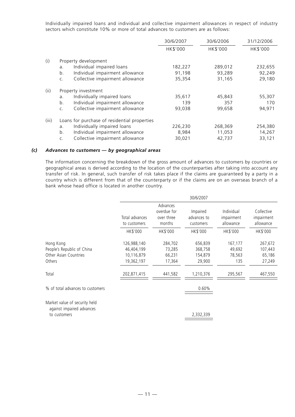Individually impaired loans and individual and collective impairment allowances in respect of industry sectors which constitute 10% or more of total advances to customers are as follows:

|       |                                                   | 30/6/2007 | 30/6/2006 | 31/12/2006 |
|-------|---------------------------------------------------|-----------|-----------|------------|
|       |                                                   | HK\$'000  | HK\$'000  | HK\$'000   |
| (i)   | Property development                              |           |           |            |
|       | Individual impaired loans<br>a.                   | 182,227   | 289,012   | 232,655    |
|       | Individual impairment allowance<br>b.             | 91,198    | 93,289    | 92,249     |
|       | Collective impairment allowance<br>$\mathsf{C}$ . | 35,354    | 31,165    | 29,180     |
| (ii)  | Property investment                               |           |           |            |
|       | Individually impaired loans<br>a.                 | 35,617    | 45,843    | 55,307     |
|       | Individual impairment allowance<br>b.             | 139       | 357       | 170        |
|       | Collective impairment allowance<br>$\mathsf{C}$ . | 93,038    | 99,658    | 94,971     |
| (iii) | Loans for purchase of residential properties      |           |           |            |
|       | Individually impaired loans<br>$\mathsf{a}$ .     | 226,230   | 268,369   | 254,380    |
|       | b.<br>Individual impairment allowance             | 8,984     | 11,053    | 14,267     |
|       | Collective impairment allowance<br>C.             | 30,021    | 42,737    | 33,121     |

## *(c) Advances to customers — by geographical areas*

The information concerning the breakdown of the gross amount of advances to customers by countries or geographical areas is derived according to the location of the counterparties after taking into account any transfer of risk. In general, such transfer of risk takes place if the claims are guaranteed by a party in a country which is different from that of the counterparty or if the claims are on an overseas branch of a bank whose head office is located in another country.

|                                                                            |                                                       |                                                 | 30/6/2007                               |                                       |                                        |
|----------------------------------------------------------------------------|-------------------------------------------------------|-------------------------------------------------|-----------------------------------------|---------------------------------------|----------------------------------------|
|                                                                            | Total advances<br>to customers                        | Advances<br>overdue for<br>over three<br>months | Impaired<br>advances to<br>customers    | Individual<br>impairment<br>allowance | Collective<br>impairment<br>allowance  |
|                                                                            | HK\$'000                                              | HK\$'000                                        | HK\$'000                                | HK\$'000                              | HK\$'000                               |
| Hong Kong<br>People's Republic of China<br>Other Asian Countries<br>Others | 126,988,140<br>46,404,199<br>10,116,879<br>19,362,197 | 284,702<br>73,285<br>66,231<br>17,364           | 656,839<br>368,758<br>154,879<br>29,900 | 167,177<br>49,692<br>78,563<br>135    | 267,672<br>107,443<br>65,186<br>27,249 |
| Total                                                                      | 202,871,415                                           | 441,582                                         | 1,210,376                               | 295,567                               | 467,550                                |
| % of total advances to customers                                           |                                                       |                                                 | 0.60%                                   |                                       |                                        |
| Market value of security held<br>against impaired advances<br>to customers |                                                       |                                                 | 2,332,339                               |                                       |                                        |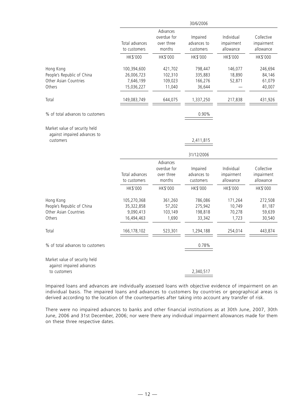|                                                                            |                                                      |                                                             | 30/6/2006                                        |                                                   |                                                   |
|----------------------------------------------------------------------------|------------------------------------------------------|-------------------------------------------------------------|--------------------------------------------------|---------------------------------------------------|---------------------------------------------------|
|                                                                            | Total advances<br>to customers<br>HK\$'000           | Advances<br>overdue for<br>over three<br>months<br>HK\$'000 | Impaired<br>advances to<br>customers<br>HK\$'000 | Individual<br>impairment<br>allowance<br>HK\$'000 | Collective<br>impairment<br>allowance<br>HK\$'000 |
| Hong Kong<br>People's Republic of China<br>Other Asian Countries<br>Others | 100,394,600<br>26,006,723<br>7,646,199<br>15,036,227 | 421,702<br>102,310<br>109,023<br>11,040                     | 798,447<br>335,883<br>166,276<br>36,644          | 146,077<br>18,890<br>52,871                       | 246,694<br>84,146<br>61,079<br>40,007             |
| Total                                                                      | 149,083,749                                          | 644,075                                                     | 1,337,250                                        | 217,838                                           | 431,926                                           |
| % of total advances to customers                                           |                                                      |                                                             | 0.90%                                            |                                                   |                                                   |
| Market value of security held<br>against impaired advances to<br>customers |                                                      |                                                             | 2,411,815<br>31/12/2006                          |                                                   |                                                   |
|                                                                            | Total advances<br>to customers<br>HK\$'000           | Advances<br>overdue for<br>over three<br>months<br>HK\$'000 | Impaired<br>advances to<br>customers<br>HK\$'000 | Individual<br>impairment<br>allowance<br>HK\$'000 | Collective<br>impairment<br>allowance<br>HK\$'000 |
| Hong Kong<br>People's Republic of China<br>Other Asian Countries<br>Others | 105,270,368<br>35,322,858<br>9,090,413<br>16,494,463 | 361,260<br>57,202<br>103,149<br>1,690                       | 786,086<br>275,942<br>198,818<br>33,342          | 171,264<br>10,749<br>70,278<br>1,723              | 272,508<br>81,187<br>59,639<br>30,540             |
| Total                                                                      | 166,178,102                                          | 523,301                                                     | 1,294,188                                        | 254,014                                           | 443,874                                           |
| % of total advances to customers                                           |                                                      |                                                             | 0.78%                                            |                                                   |                                                   |
| Market value of security held<br>against impaired advances<br>to customers |                                                      |                                                             | 2,340,517                                        |                                                   |                                                   |

Impaired loans and advances are individually assessed loans with objective evidence of impairment on an individual basis. The impaired loans and advances to customers by countries or geographical areas is derived according to the location of the counterparties after taking into account any transfer of risk.

There were no impaired advances to banks and other financial institutions as at 30th June, 2007, 30th June, 2006 and 31st December, 2006; nor were there any individual impairment allowances made for them on these three respective dates.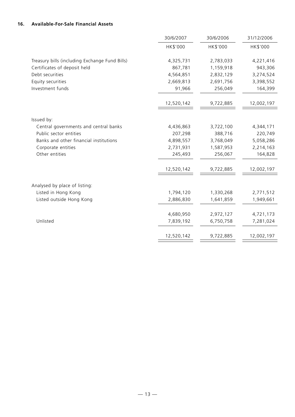# **16. Available-For-Sale Financial Assets**

|                                                | 30/6/2007  | 30/6/2006 | 31/12/2006 |
|------------------------------------------------|------------|-----------|------------|
|                                                | HK\$'000   | HK\$'000  | HK\$'000   |
|                                                |            |           |            |
| Treasury bills (including Exchange Fund Bills) | 4,325,731  | 2,783,033 | 4,221,416  |
| Certificates of deposit held                   | 867,781    | 1,159,918 | 943,306    |
| Debt securities                                | 4,564,851  | 2,832,129 | 3,274,524  |
| Equity securities                              | 2,669,813  | 2,691,756 | 3,398,552  |
| Investment funds                               | 91,966     | 256,049   | 164,399    |
|                                                | 12,520,142 | 9,722,885 | 12,002,197 |
|                                                |            |           |            |
| Issued by:                                     |            |           |            |
| Central governments and central banks          | 4,436,863  | 3,722,100 | 4,344,171  |
| Public sector entities                         | 207,298    | 388,716   | 220,749    |
| Banks and other financial institutions         | 4,898,557  | 3,768,049 | 5,058,286  |
| Corporate entities                             | 2,731,931  | 1,587,953 | 2,214,163  |
| Other entities                                 | 245,493    | 256,067   | 164,828    |
|                                                | 12,520,142 | 9,722,885 | 12,002,197 |
| Analysed by place of listing:                  |            |           |            |
| Listed in Hong Kong                            | 1,794,120  | 1,330,268 | 2,771,512  |
| Listed outside Hong Kong                       | 2,886,830  | 1,641,859 | 1,949,661  |
|                                                |            |           |            |
|                                                | 4,680,950  | 2,972,127 | 4,721,173  |
| Unlisted                                       | 7,839,192  | 6,750,758 | 7,281,024  |
|                                                | 12,520,142 | 9,722,885 | 12,002,197 |
|                                                |            |           |            |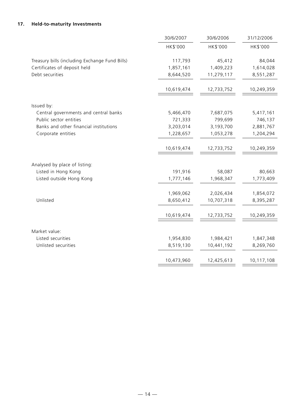# **17. Held-to-maturity Investments**

|                                                | 30/6/2007  | 30/6/2006  | 31/12/2006 |
|------------------------------------------------|------------|------------|------------|
|                                                | HK\$'000   | HK\$'000   | HK\$'000   |
| Treasury bills (including Exchange Fund Bills) | 117,793    | 45,412     | 84,044     |
| Certificates of deposit held                   | 1,857,161  | 1,409,223  | 1,614,028  |
| Debt securities                                | 8,644,520  | 11,279,117 | 8,551,287  |
|                                                | 10,619,474 | 12,733,752 | 10,249,359 |
| Issued by:                                     |            |            |            |
| Central governments and central banks          | 5,466,470  | 7,687,075  | 5,417,161  |
| Public sector entities                         | 721,333    | 799,699    | 746,137    |
| Banks and other financial institutions         | 3,203,014  | 3,193,700  | 2,881,767  |
| Corporate entities                             | 1,228,657  | 1,053,278  | 1,204,294  |
|                                                | 10,619,474 | 12,733,752 | 10,249,359 |
| Analysed by place of listing:                  |            |            |            |
| Listed in Hong Kong                            | 191,916    | 58,087     | 80,663     |
| Listed outside Hong Kong                       | 1,777,146  | 1,968,347  | 1,773,409  |
|                                                | 1,969,062  | 2,026,434  | 1,854,072  |
| Unlisted                                       | 8,650,412  | 10,707,318 | 8,395,287  |
|                                                |            |            |            |
|                                                | 10,619,474 | 12,733,752 | 10,249,359 |
| Market value:                                  |            |            |            |
| Listed securities                              | 1,954,830  | 1,984,421  | 1,847,348  |
| Unlisted securities                            | 8,519,130  | 10,441,192 | 8,269,760  |
|                                                | 10,473,960 | 12,425,613 | 10,117,108 |
|                                                |            |            |            |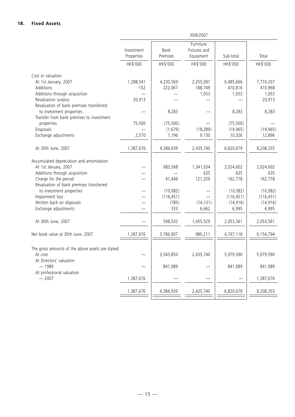|                                                              | 30/6/2007                |                  |                                        |            |            |
|--------------------------------------------------------------|--------------------------|------------------|----------------------------------------|------------|------------|
|                                                              | Investment<br>Properties | Bank<br>Premises | Furniture<br>Fixtures and<br>Equipment | Sub-total  | Total      |
|                                                              | HK\$'000                 | HK\$'000         | HK\$'000                               | HK\$'000   | HK\$'000   |
| Cost or valuation                                            |                          |                  |                                        |            |            |
| At 1st January, 2007                                         | 1,288,541                | 4,230,569        | 2,255,097                              | 6,485,666  | 7,774,207  |
| Additions                                                    | 152                      | 222,067          | 188,749                                | 410,816    | 410,968    |
| Additions through acquisition                                |                          |                  | 1,053                                  | 1,053      | 1,053      |
| Revaluation surplus                                          | 20,913                   |                  |                                        |            | 20,913     |
| Revaluation of bank premises transferred                     |                          |                  |                                        |            |            |
| to investment properties                                     |                          | 8,283            |                                        | 8,283      | 8,283      |
| Transfer from bank premises to investment                    |                          |                  |                                        |            |            |
| properties                                                   | 75,500                   | (75, 500)        |                                        | (75, 500)  |            |
| Disposals                                                    |                          | (1,676)          | (18, 289)                              | (19, 965)  | (19, 965)  |
| Exchange adjustments                                         | 2,570                    | 1,196            | 9,130                                  | 10,326     | 12,896     |
| At 30th June, 2007                                           | 1,387,676                | 4,384,939        | 2,435,740                              | 6,820,679  | 8,208,355  |
| Accumulated depreciation and amortisation                    |                          |                  |                                        |            |            |
| At 1st January, 2007                                         |                          | 683,568          | 1,341,034                              | 2,024,602  | 2,024,602  |
| Additions through acquisition                                |                          |                  | 635                                    | 635        | 635        |
| Charge for the period                                        |                          | 41,449           | 121,329                                | 162,778    | 162,778    |
| Revaluation of bank premises transferred                     |                          |                  |                                        |            |            |
| to investment properties                                     |                          | (10,082)         |                                        | (10,082)   | (10,082)   |
| Impairment loss                                              |                          | (116, 451)       |                                        | (116, 451) | (116, 451) |
| Written back on disposals                                    |                          | (785)            | (14, 131)                              | (14, 916)  | (14, 916)  |
| Exchange adjustments                                         |                          | 333              | 6,662                                  | 6,995      | 6,995      |
| At 30th June, 2007                                           |                          | 598,032          | 1,455,529                              | 2,053,561  | 2,053,561  |
| Net book value at 30th June, 2007                            | 1,387,676                | 3,786,907        | 980,211                                | 4,767,118  | 6,154,794  |
|                                                              |                          |                  |                                        |            |            |
| The gross amounts of the above assets are stated:<br>At cost |                          | 3,543,850        | 2,435,740                              | 5,979,590  | 5,979,590  |
| At Directors' valuation                                      |                          |                  |                                        |            |            |
| $-1989$                                                      |                          | 841,089          |                                        | 841,089    | 841,089    |
| At professional valuation<br>$-2007$                         | 1,387,676                |                  |                                        |            | 1,387,676  |
|                                                              | 1,387,676                | 4,384,939        | 2,435,740                              | 6,820,679  | 8,208,355  |
|                                                              |                          |                  |                                        |            |            |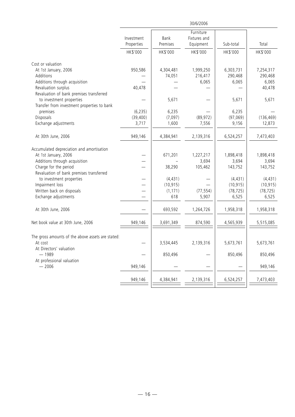|                                                              | 30/6/2006                |                  |                                        |           |            |
|--------------------------------------------------------------|--------------------------|------------------|----------------------------------------|-----------|------------|
|                                                              | Investment<br>Properties | Bank<br>Premises | Furniture<br>Fixtures and<br>Equipment | Sub-total | Total      |
|                                                              | HK\$'000                 | HK\$'000         | HK\$'000                               | HK\$'000  | HK\$'000   |
| Cost or valuation                                            |                          |                  |                                        |           |            |
| At 1st January, 2006                                         | 950,586                  | 4,304,481        | 1,999,250                              | 6,303,731 | 7,254,317  |
| Additions                                                    |                          | 74,051           | 216,417                                | 290,468   | 290,468    |
| Additions through acquisition                                |                          |                  | 6,065                                  | 6,065     | 6,065      |
| Revaluation surplus                                          | 40,478                   |                  |                                        |           | 40,478     |
| Revaluation of bank premises transferred                     |                          |                  |                                        |           |            |
| to investment properties                                     |                          | 5,671            |                                        | 5,671     | 5,671      |
| Transfer from investment properties to bank                  |                          |                  |                                        |           |            |
| premises                                                     | (6, 235)                 | 6,235            |                                        | 6,235     |            |
| Disposals                                                    | (39, 400)                | (7,097)          | (89, 972)                              | (97,069)  | (136, 469) |
| Exchange adjustments                                         | 3,717                    | 1,600            | 7,556                                  | 9,156     | 12,873     |
|                                                              |                          |                  |                                        |           |            |
| At 30th June, 2006                                           | 949,146                  | 4,384,941        | 2,139,316                              | 6,524,257 | 7,473,403  |
| Accumulated depreciation and amortisation                    |                          |                  |                                        |           |            |
| At 1st January, 2006                                         |                          | 671,201          | 1,227,217                              | 1,898,418 | 1,898,418  |
| Additions through acquisition                                |                          |                  | 3,694                                  | 3,694     | 3,694      |
| Charge for the period                                        |                          | 38,290           | 105,462                                | 143,752   | 143,752    |
| Revaluation of bank premises transferred                     |                          |                  |                                        |           |            |
| to investment properties                                     |                          | (4, 431)         |                                        | (4, 431)  | (4, 431)   |
| Impairment loss                                              |                          | (10, 915)        |                                        | (10, 915) | (10, 915)  |
| Written back on disposals                                    |                          | (1, 171)         | (77, 554)                              | (78, 725) | (78, 725)  |
|                                                              |                          | 618              |                                        |           |            |
| Exchange adjustments                                         |                          |                  | 5,907                                  | 6,525     | 6,525      |
| At 30th June, 2006                                           |                          | 693,592          | 1,264,726                              | 1,958,318 | 1,958,318  |
| Net book value at 30th June, 2006                            | 949,146                  | 3,691,349        | 874,590                                | 4,565,939 | 5,515,085  |
|                                                              |                          |                  |                                        |           |            |
| The gross amounts of the above assets are stated:<br>At cost |                          | 3,534,445        | 2,139,316                              | 5,673,761 | 5,673,761  |
| At Directors' valuation                                      |                          |                  |                                        |           |            |
| $-1989$                                                      |                          | 850,496          |                                        | 850,496   | 850,496    |
| At professional valuation                                    |                          |                  |                                        |           |            |
| $-2006$                                                      | 949,146                  |                  |                                        |           | 949,146    |
|                                                              |                          |                  |                                        |           |            |
|                                                              | 949,146                  | 4,384,941        | 2,139,316                              | 6,524,257 | 7,473,403  |
|                                                              |                          |                  |                                        |           |            |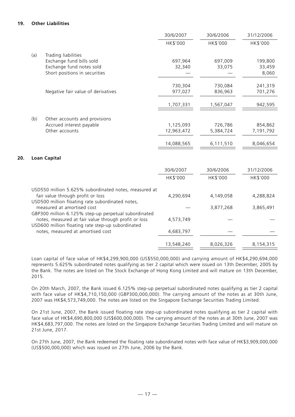# **19. Other Liabilities**

**20.** 

|     |                                    | 30/6/2007  | 30/6/2006 | 31/12/2006 |
|-----|------------------------------------|------------|-----------|------------|
|     |                                    | HK\$'000   | HK\$'000  | HK\$'000   |
| (a) | Trading liabilities                |            |           |            |
|     | Exchange fund bills sold           | 697,964    | 697,009   | 199,800    |
|     | Exchange fund notes sold           | 32,340     | 33,075    | 33,459     |
|     | Short positions in securities      |            |           | 8,060      |
|     |                                    | 730,304    | 730,084   | 241,319    |
|     |                                    |            |           |            |
|     | Negative fair value of derivatives | 977,027    | 836,963   | 701,276    |
|     |                                    | 1,707,331  | 1,567,047 | 942,595    |
|     |                                    |            |           |            |
| (b) | Other accounts and provisions      |            |           |            |
|     | Accrued interest payable           | 1,125,093  | 726,786   | 854,862    |
|     | Other accounts                     | 12,963,472 | 5,384,724 | 7,191,792  |
|     |                                    | 14,088,565 | 6,111,510 | 8,046,654  |
|     |                                    |            |           |            |
|     | <b>Loan Capital</b>                |            |           |            |
|     |                                    | 30/6/2007  | 30/6/2006 | 31/12/2006 |

|                                                                                                           | HK\$'000   | HK\$'000  | HK\$'000  |
|-----------------------------------------------------------------------------------------------------------|------------|-----------|-----------|
| USD550 million 5.625% subordinated notes, measured at                                                     |            |           |           |
| fair value through profit or loss<br>USD500 million floating rate subordinated notes,                     | 4,290,694  | 4,149,058 | 4,288,824 |
| measured at amortised cost                                                                                |            | 3,877,268 | 3,865,491 |
| GBP300 million 6.125% step-up perpetual subordinated                                                      |            |           |           |
| notes, measured at fair value through profit or loss<br>USD600 million floating rate step-up subordinated | 4,573,749  |           |           |
| notes, measured at amortised cost                                                                         | 4,683,797  |           |           |
|                                                                                                           | 13,548,240 | 8,026,326 | 8,154,315 |

Loan capital of face value of HK\$4,299,900,000 (US\$550,000,000) and carrying amount of HK\$4,290,694,000 represents 5.625% subordinated notes qualifying as tier 2 capital which were issued on 13th December, 2005 by the Bank. The notes are listed on The Stock Exchange of Hong Kong Limited and will mature on 13th December, 2015.

On 20th March, 2007, the Bank issued 6.125% step-up perpetual subordinated notes qualifying as tier 2 capital with face value of HK\$4,710,150,000 (GBP300,000,000). The carrying amount of the notes as at 30th June, 2007 was HK\$4,573,749,000. The notes are listed on the Singapore Exchange Securities Trading Limited.

On 21st June, 2007, the Bank issued floating rate step-up subordinated notes qualifying as tier 2 capital with face value of HK\$4,690,800,000 (US\$600,000,000). The carrying amount of the notes as at 30th June, 2007 was HK\$4,683,797,000. The notes are listed on the Singapore Exchange Securities Trading Limited and will mature on 21st June, 2017.

On 27th June, 2007, the Bank redeemed the floating rate subordinated notes with face value of HK\$3,909,000,000 (US\$500,000,000) which was issued on 27th June, 2006 by the Bank.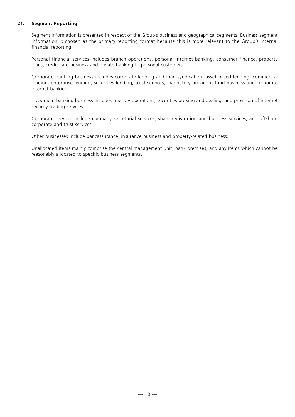# **21. Segment Reporting**

Segment information is presented in respect of the Group's business and geographical segments. Business segment information is chosen as the primary reporting format because this is more relevant to the Group's internal financial reporting.

Personal financial services includes branch operations, personal Internet banking, consumer finance, property loans, credit card business and private banking to personal customers.

Corporate banking business includes corporate lending and loan syndication, asset based lending, commercial lending, enterprise lending, securities lending, trust services, mandatory provident fund business and corporate Internet banking.

Investment banking business includes treasury operations, securities broking and dealing, and provision of internet security trading services.

Corporate services include company secretarial services, share registration and business services, and offshore corporate and trust services.

Other businesses include bancassurance, insurance business and property-related business.

Unallocated items mainly comprise the central management unit, bank premises, and any items which cannot be reasonably allocated to specific business segments.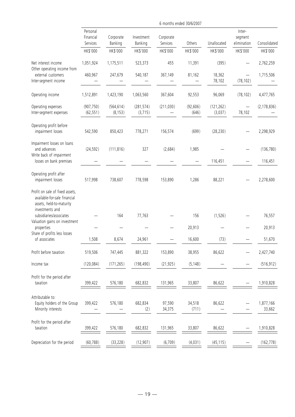|                                                                                                                |                                   |                        |                        |                       | 6 months ended 30/6/2007 |                       |                                       |                     |
|----------------------------------------------------------------------------------------------------------------|-----------------------------------|------------------------|------------------------|-----------------------|--------------------------|-----------------------|---------------------------------------|---------------------|
|                                                                                                                | Personal<br>Financial<br>Services | Corporate<br>Banking   | Investment<br>Banking  | Corporate<br>Services | Others                   | Unallocated           | Inter-<br>segment<br>elimination      | Consolidated        |
|                                                                                                                | HK\$'000                          | HK\$'000               | HK\$'000               | HK\$'000              | HK\$'000                 | HK\$'000              | HK\$'000                              | HK\$'000            |
| Net interest income<br>Other operating income from                                                             | 1,051,924                         | 1,175,511              | 523,373                | 455                   | 11,391                   | (395)                 |                                       | 2,762,259           |
| external customers<br>Inter-segment income                                                                     | 460,967                           | 247,679                | 540,187                | 367,149               | 81,162                   | 18,362<br>78,102      | $\overline{\phantom{0}}$<br>(78, 102) | 1,715,506           |
| Operating income                                                                                               | 1,512,891                         | 1,423,190              | 1,063,560              | 367,604               | 92,553                   | 96,069                | (78, 102)                             | 4,477,765           |
| Operating expenses<br>Inter-segment expenses                                                                   | (907, 750)<br>(62, 551)           | (564, 614)<br>(8, 153) | (281, 574)<br>(3, 715) | (211, 030)            | (92, 606)<br>(646)       | (121, 262)<br>(3,037) | —<br>78,102                           | (2, 178, 836)       |
| Operating profit before<br>impairment losses                                                                   | 542,590                           | 850,423                | 778,271                | 156,574               | (699)                    | (28, 230)             |                                       | 2,298,929           |
| Impairment losses on loans<br>and advances<br>Write back of impairment                                         | (24, 592)                         | (111, 816)             | 327                    | (2,684)               | 1,985                    |                       |                                       | (136, 780)          |
| losses on bank premises                                                                                        |                                   |                        |                        |                       |                          | 116,451               | —                                     | 116,451             |
| Operating profit after<br>impairment losses                                                                    | 517,998                           | 738,607                | 778,598                | 153,890               | 1,286                    | 88,221                |                                       | 2,278,600           |
| Profit on sale of fixed assets,<br>available-for-sale financial<br>assets, held-to-maturity<br>investments and |                                   |                        |                        |                       |                          |                       |                                       |                     |
| subsidiaries/associates                                                                                        |                                   | 164                    | 77,763                 |                       | 156                      | (1,526)               |                                       | 76,557              |
| Valuation gains on investment<br>properties<br>Share of profits less losses                                    |                                   |                        |                        |                       | 20,913                   |                       |                                       | 20,913              |
| of associates                                                                                                  | 1,508                             | 8,674                  | 24,961                 |                       | 16,600                   | (73)                  |                                       | 51,670              |
| Profit before taxation                                                                                         | 519,506                           | 747,445                | 881,322                | 153,890               | 38,955                   | 86,622                |                                       | 2,427,740           |
| Income tax                                                                                                     | (120, 084)                        | (171, 265)             | (198, 490)             | (21, 925)             | (5, 148)                 |                       |                                       | (516, 912)          |
| Profit for the period after<br>taxation                                                                        | 399,422                           | 576,180                | 682,832                | 131,965               | 33,807                   | 86,622                |                                       | 1,910,828           |
| Attributable to:<br>Equity holders of the Group<br>Minority interests                                          | 399,422                           | 576,180                | 682,834<br>(2)         | 97,590<br>34,375      | 34,518<br>(711)          | 86,622                |                                       | 1,877,166<br>33,662 |
| Profit for the period after<br>taxation                                                                        | 399,422                           | 576,180                | 682,832                | 131,965               | 33,807                   | 86,622                |                                       | 1,910,828           |
| Depreciation for the period                                                                                    | (60, 788)                         | (33, 228)              | (12, 907)              | (6,709)               | (4,031)                  | (45, 115)             |                                       | (162, 778)          |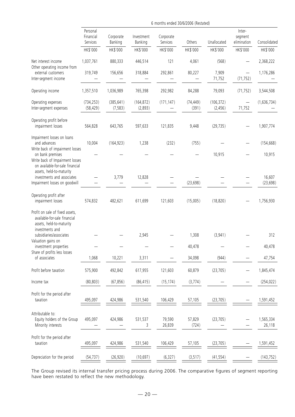|                                                                                                                | 6 months ended 30/6/2006 (Restated) |                        |                       |                       |                    |                        |                                  |                     |  |
|----------------------------------------------------------------------------------------------------------------|-------------------------------------|------------------------|-----------------------|-----------------------|--------------------|------------------------|----------------------------------|---------------------|--|
|                                                                                                                | Personal<br>Financial<br>Services   | Corporate<br>Banking   | Investment<br>Banking | Corporate<br>Services | Others             | Unallocated            | Inter-<br>segment<br>elimination | Consolidated        |  |
|                                                                                                                | HK\$'000                            | HK\$'000               | HK\$'000              | HK\$'000              | HK\$'000           | HK\$'000               | HK\$'000                         | HK\$'000            |  |
| Net interest income                                                                                            | 1,037,761                           | 880,333                | 446,514               | 121                   | 4,061              | (568)                  |                                  | 2,368,222           |  |
| Other operating income from<br>external customers<br>Inter-segment income                                      | 319,749                             | 156,656                | 318,884               | 292,861               | 80,227             | 7,909<br>71,752        | (71, 752)                        | 1,176,286           |  |
| Operating income                                                                                               | 1,357,510                           | 1,036,989              | 765,398               | 292,982               | 84,288             | 79,093                 | (71, 752)                        | 3,544,508           |  |
| Operating expenses<br>Inter-segment expenses                                                                   | (734, 253)<br>(58, 429)             | (385, 641)<br>(7, 583) | (164, 872)<br>(2,893) | (171, 147)            | (74, 449)<br>(391) | (106, 372)<br>(2, 456) | $\qquad \qquad -$<br>71,752      | (1,636,734)         |  |
| Operating profit before<br>impairment losses                                                                   | 564,828                             | 643,765                | 597,633               | 121,835               | 9,448              | (29, 735)              |                                  | 1,907,774           |  |
| Impairment losses on loans<br>and advances<br>Write back of impairment losses                                  | 10,004                              | (164, 923)             | 1,238                 | (232)                 | (755)              |                        |                                  | (154, 668)          |  |
| on bank premises<br>Write back of Impairment losses<br>on available-for-sale financial                         |                                     |                        |                       |                       |                    | 10,915                 |                                  | 10,915              |  |
| assets, held-to-maturity<br>investments and associates<br>Impairment losses on goodwill                        |                                     | 3,779                  | 12,828                |                       | (23, 698)          |                        |                                  | 16,607<br>(23, 698) |  |
| Operating profit after<br>impairment losses                                                                    | 574,832                             | 482,621                | 611,699               | 121,603               | (15,005)           | (18, 820)              |                                  | 1,756,930           |  |
| Profit on sale of fixed assets,<br>available-for-sale financial<br>assets, held-to-maturity<br>investments and |                                     |                        |                       |                       |                    |                        |                                  |                     |  |
| subsidiaries/associates<br>Valuation gains on                                                                  |                                     |                        | 2,945                 |                       | 1,308              | (3,941)                |                                  | 312                 |  |
| investment properties                                                                                          |                                     |                        |                       |                       | 40,478             |                        |                                  | 40,478              |  |
| Share of profits less losses<br>of associates                                                                  | 1,068                               | 10,221                 | 3,311                 |                       | 34,098             | (944)                  |                                  | 47,754              |  |
| Profit before taxation                                                                                         | 575,900                             | 492,842                | 617,955               | 121,603               | 60,879             | (23, 705)              |                                  | 1,845,474           |  |
| Income tax                                                                                                     | (80, 803)                           | (67, 856)              | (86, 415)             | (15, 174)             | (3,774)            |                        |                                  | (254, 022)          |  |
| Profit for the period after<br>taxation                                                                        | 495,097                             | 424,986                | 531,540               | 106,429               | 57,105             | (23, 705)              |                                  | 1,591,452           |  |
| Attributable to:<br>Equity holders of the Group<br>Minority interests                                          | 495,097                             | 424,986                | 531,537<br>3          | 79,590<br>26,839      | 57,829<br>(724)    | (23, 705)              |                                  | 1,565,334<br>26,118 |  |
| Profit for the period after<br>taxation                                                                        | 495,097                             | 424,986                | 531,540               | 106,429               | 57,105             | (23, 705)              |                                  | 1,591,452           |  |
| Depreciation for the period                                                                                    | (54, 737)                           | (26, 920)              | (10, 697)             | (6, 327)              | (3, 517)           | (41, 554)              |                                  | (143, 752)          |  |

The Group revised its internal transfer pricing process during 2006. The comparative figures of segment reporting have been restated to reflect the new methodology.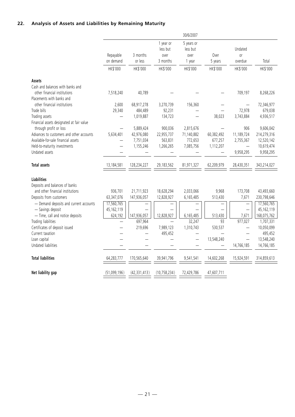# **22. Analysis of Assets and Liabilities by Remaining Maturity**

|                                                                                                                                                                                                          |                                       |                                                   |                                               | 30/6/2007                                       |                                           |                                                                         |                                                                   |
|----------------------------------------------------------------------------------------------------------------------------------------------------------------------------------------------------------|---------------------------------------|---------------------------------------------------|-----------------------------------------------|-------------------------------------------------|-------------------------------------------|-------------------------------------------------------------------------|-------------------------------------------------------------------|
|                                                                                                                                                                                                          | Repayable<br>on demand                | 3 months<br>or less                               | 1 year or<br>less but<br>over<br>3 months     | 5 years or<br>less but<br>over<br>1 year        | Over<br>5 years                           | Undated<br>0ľ<br>overdue                                                | Total                                                             |
|                                                                                                                                                                                                          | HK\$'000                              | HK\$'000                                          | HK\$'000                                      | HK\$'000                                        | HK\$'000                                  | HK\$'000                                                                | HK\$'000                                                          |
| Assets<br>Cash and balances with banks and<br>other financial institutions<br>Placements with banks and                                                                                                  | 7,518,240                             | 40,789                                            |                                               |                                                 |                                           | 709,197                                                                 | 8,268,226                                                         |
| other financial institutions<br>Trade bills<br>Trading assets                                                                                                                                            | 2,600<br>29,340                       | 68,917,278<br>484,489<br>1,019,887                | 3,270,739<br>92,231<br>134,723                | 156,360                                         | 38,023                                    | 72,978<br>3,743,884                                                     | 72,346,977<br>679,038<br>4,936,517                                |
| Financial assets designated at fair value<br>through profit or loss<br>Advances to customers and other accounts<br>Available-for-sale financial assets<br>Held-to-maturity investments<br>Undated assets | 5,634,401                             | 5,889,424<br>42,976,080<br>7,751,034<br>1,155,246 | 900,036<br>22,955,737<br>563,831<br>1,266,265 | 2,815,676<br>71,140,882<br>772,653<br>7,085,756 | 60,382,492<br>677,257<br>1,112,207        | 906<br>11,189,724<br>2,755,367<br>$\overline{\phantom{0}}$<br>9,958,295 | 9,606,042<br>214,279,316<br>12,520,142<br>10,619,474<br>9,958,295 |
| <b>Total assets</b>                                                                                                                                                                                      | 13,184,581                            | 128,234,227                                       | 29,183,562                                    | 81,971,327                                      | 62,209,979                                | 28,430,351                                                              | 343,214,027                                                       |
| <b>Liabilities</b><br>Deposits and balances of banks<br>and other financial institutions<br>Deposits from customers                                                                                      | 936,701<br>63,347,076                 | 21,711,923<br>147,936,057                         | 18,628,294<br>12,828,927                      | 2,033,066<br>6,165,485                          | 9,968<br>513,430                          | 173,708<br>7,671                                                        | 43,493,660<br>230,798,646                                         |
| - Demand deposits and current accounts<br>- Savings deposit<br>- Time, call and notice deposits<br>Trading liabilities                                                                                   | 17,560,765<br>45, 162, 119<br>624,192 | 147,936,057<br>697,964                            | 12,828,927<br>$\overline{\phantom{0}}$        | 6,165,485<br>32,247                             | $\overline{\phantom{0}}$<br>513,430<br>93 | 7,671<br>977,027                                                        | 17,560,765<br>45,162,119<br>168,075,762<br>1,707,331              |
| Certificates of deposit issued<br>Current taxation<br>Loan capital                                                                                                                                       |                                       | 219,696<br>$\equiv$<br>$\overline{\phantom{0}}$   | 7,989,123<br>495,452                          | 1,310,743                                       | 530,537<br>13,548,240                     |                                                                         | 10,050,099<br>495,452<br>13,548,240                               |
| Undated liabilities<br><b>Total liabilities</b>                                                                                                                                                          | 64.283.777                            | 170.565.640                                       | 39,941,796                                    | 9,541,541                                       | 14,602,268                                | 14,766,185<br>15,924,591                                                | 14,766,185<br>314,859,613                                         |
| Net liability gap                                                                                                                                                                                        | (51,099,196)                          | (42, 331, 413)                                    | (10, 758, 234)                                | 72,429,786                                      | 47,607,711                                |                                                                         |                                                                   |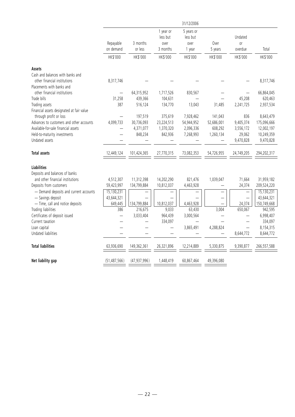|                                           |                          |                |            | 31/12/2006 |            |                          |             |
|-------------------------------------------|--------------------------|----------------|------------|------------|------------|--------------------------|-------------|
|                                           |                          |                | 1 year or  | 5 years or |            |                          |             |
|                                           |                          |                | less but   | less but   |            | Undated                  |             |
|                                           | Repayable                | 3 months       | over       | over       | Over       | 0r                       |             |
|                                           | on demand                | or less        | 3 months   | 1 year     | 5 years    | overdue                  | Total       |
|                                           | HK\$'000                 | HK\$'000       | HK\$'000   | HK\$'000   | HK\$'000   | HK\$'000                 | HK\$'000    |
| Assets                                    |                          |                |            |            |            |                          |             |
| Cash and balances with banks and          |                          |                |            |            |            |                          |             |
| other financial institutions              | 8,317,746                |                |            |            |            |                          | 8,317,746   |
| Placements with banks and                 |                          |                |            |            |            |                          |             |
| other financial institutions              | $\overline{\phantom{0}}$ | 64,315,952     | 1,717,526  | 830,567    |            | $\overline{\phantom{0}}$ | 66,864,045  |
| Trade bills                               | 31,258                   | 439,366        | 104,631    |            |            | 45,208                   | 620,463     |
| Trading assets                            | 387                      | 516,124        | 134,770    | 13,043     | 31,485     | 2,241,725                | 2,937,534   |
| Financial assets designated at fair value |                          |                |            |            |            |                          |             |
| through profit or loss                    |                          | 197,519        | 375,619    | 7,928,462  | 141,043    | 836                      | 8,643,479   |
| Advances to customers and other accounts  | 4,099,733                | 30,736,093     | 23,224,513 | 54,944,952 | 52,686,001 | 9,405,374                | 175,096,666 |
| Available-for-sale financial assets       |                          | 4,371,077      | 1,370,320  | 2,096,336  | 608,292    | 3,556,172                | 12,002,197  |
| Held-to-maturity investments              | $\overline{\phantom{0}}$ | 848,234        | 842,936    | 7,268,993  | 1,260,134  | 29,062                   | 10,249,359  |
| Undated assets                            |                          |                |            |            |            | 9,470,828                | 9,470,828   |
|                                           |                          |                |            |            |            |                          |             |
| <b>Total assets</b>                       | 12,449,124               | 101,424,365    | 27,770,315 | 73,082,353 | 54,726,955 | 24,749,205               | 294,202,317 |
| <b>Liabilities</b>                        |                          |                |            |            |            |                          |             |
| Deposits and balances of banks            |                          |                |            |            |            |                          |             |
| and other financial institutions          | 4,512,307                | 11,312,398     | 14,202,290 | 821,476    | 1,039,047  | 71,664                   | 31,959,182  |
| Deposits from customers                   | 59,423,997               | 134,799,884    | 10,812,037 |            |            | 24,374                   |             |
|                                           |                          |                |            | 4,463,928  |            |                          | 209,524,220 |
| - Demand deposits and current accounts    | 15,130,231               |                |            |            |            |                          | 15,130,231  |
| - Savings deposit                         | 43,644,321               |                |            |            |            |                          | 43,644,321  |
| - Time, call and notice deposits          | 649,445                  | 134,799,884    | 10,812,037 | 4,463,928  |            | 24,374                   | 150,749,668 |
| Trading liabilities                       | 386                      | 216,675        | 9,033      | 63,430     | 3,004      | 650,067                  | 942,595     |
| Certificates of deposit issued            | $\overline{\phantom{0}}$ | 3,033,404      | 964,439    | 3,000,564  |            |                          | 6,998,407   |
| Current taxation                          |                          |                | 334,097    |            |            |                          | 334,097     |
| Loan capital                              |                          |                |            | 3,865,491  | 4,288,824  | $\overline{\phantom{0}}$ | 8,154,315   |
| Undated liabilities                       |                          |                |            |            |            | 8,644,772                | 8,644,772   |
| <b>Total liabilities</b>                  | 63,936,690               | 149,362,361    | 26,321,896 | 12,214,889 | 5,330,875  | 9,390,877                | 266,557,588 |
| Net liability gap                         | (51, 487, 566)           | (47, 937, 996) | 1,448,419  | 60,867,464 | 49,396,080 |                          |             |
|                                           |                          |                |            |            |            |                          |             |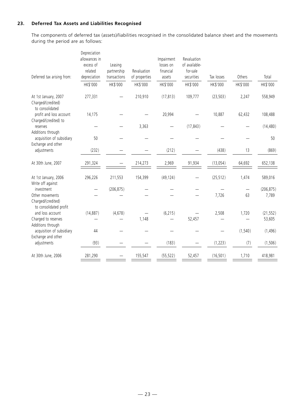# **23. Deferred Tax Assets and Liabilities Recognised**

The components of deferred tax (assets)/liabilities recognised in the consolidated balance sheet and the movements during the period are as follows:

| Deferred tax arising from:                                                    | Depreciation<br>allowances in<br>excess of<br>related<br>depreciation | Leasing<br>partnership<br>transactions | Revaluation<br>of properties | Impairment<br>losses on<br>financial<br>assets | Revaluation<br>of available-<br>for-sale<br>securities | Tax losses | Others   | Total               |
|-------------------------------------------------------------------------------|-----------------------------------------------------------------------|----------------------------------------|------------------------------|------------------------------------------------|--------------------------------------------------------|------------|----------|---------------------|
|                                                                               | HK\$'000                                                              | HK\$'000                               | HK\$'000                     | HK\$'000                                       | HK\$'000                                               | HK\$'000   | HK\$'000 | HK\$'000            |
| At 1st January, 2007<br>Charged/(credited)<br>to consolidated                 | 277,331                                                               |                                        | 210,910                      | (17, 813)                                      | 109,777                                                | (23, 503)  | 2,247    | 558,949             |
| profit and loss account<br>Charged/(credited) to                              | 14,175                                                                |                                        |                              | 20,994                                         |                                                        | 10,887     | 62,432   | 108,488             |
| reserves<br>Additions through                                                 |                                                                       |                                        | 3,363                        |                                                | (17, 843)                                              |            |          | (14, 480)           |
| acquisition of subsidiary<br>Exchange and other                               | 50                                                                    |                                        |                              |                                                |                                                        |            |          | 50                  |
| adjustments                                                                   | (232)                                                                 |                                        |                              | (212)                                          |                                                        | (438)      | 13       | (869)               |
| At 30th June, 2007                                                            | 291,324                                                               |                                        | 214,273                      | 2,969                                          | 91,934                                                 | (13, 054)  | 64,692   | 652,138             |
| At 1st January, 2006<br>Write off against                                     | 296,226                                                               | 211,553                                | 154,399                      | (49, 124)                                      |                                                        | (25, 512)  | 1,474    | 589,016             |
| investment<br>Other movements<br>Charged/(credited)<br>to consolidated profit |                                                                       | (206, 875)                             |                              |                                                |                                                        | 7,726      | —<br>63  | (206, 875)<br>7,789 |
| and loss account                                                              | (14, 887)                                                             | (4,678)                                |                              | (6, 215)                                       |                                                        | 2,508      | 1,720    | (21, 552)           |
| Charged to reserves<br>Additions through                                      |                                                                       |                                        | 1,148                        |                                                | 52,457                                                 |            |          | 53,605              |
| acquisition of subsidiary<br>Exchange and other                               | 44                                                                    |                                        |                              |                                                |                                                        |            | (1, 540) | (1, 496)            |
| adjustments                                                                   | (93)                                                                  |                                        |                              | (183)                                          |                                                        | (1, 223)   | (7)      | (1, 506)            |
| At 30th June, 2006                                                            | 281,290                                                               |                                        | 155,547                      | (55, 522)                                      | 52,457                                                 | (16, 501)  | 1,710    | 418,981             |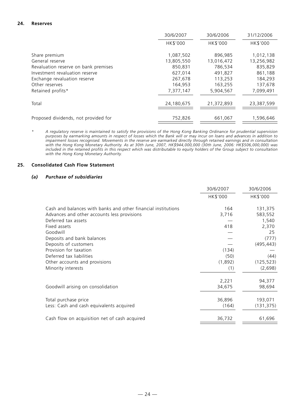# **24. Reserves**

|                                      | 30/6/2007  | 30/6/2006  | 31/12/2006 |
|--------------------------------------|------------|------------|------------|
|                                      | HK\$'000   | HK\$'000   | HK\$'000   |
| Share premium                        | 1,087,502  | 896,985    | 1,012,138  |
| General reserve                      | 13,805,550 | 13,016,472 | 13,256,982 |
| Revaluation reserve on bank premises | 850.831    | 786,534    | 835,829    |
| Investment revaluation reserve       | 627,014    | 491.827    | 861,188    |
| Exchange revaluation reserve         | 267,678    | 113,253    | 184,293    |
| Other reserves                       | 164,953    | 163,255    | 137,678    |
| Retained profits*                    | 7,377,147  | 5,904,567  | 7,099,491  |
|                                      |            |            |            |
| Total                                | 24,180,675 | 21,372,893 | 23,387,599 |
|                                      |            |            |            |
| Proposed dividends, not provided for | 752,826    | 661,067    | 1,596,646  |

*<sup>\*</sup> A regulatory reserve is maintained to satisfy the provisions of the Hong Kong Banking Ordinance for prudential supervision purposes by earmarking amounts in respect of losses which the Bank will or may incur on loans and advances in addition to impairment losses recognised. Movements in the reserve are earmarked directly through retained earnings and in consultation with the Hong Kong Monetary Authority. As at 30th June, 2007, HK\$944,000,000 (30th June, 2006: HK\$506,000,000) was included in the retained profits in this respect which was distributable to equity holders of the Group subject to consultation with the Hong Kong Monetary Authority.*

## **25. Consolidated Cash Flow Statement**

# *(a) Purchase of subsidiaries*

|                                                               | 30/6/2007 | 30/6/2006  |
|---------------------------------------------------------------|-----------|------------|
|                                                               | HK\$'000  | HK\$'000   |
| Cash and balances with banks and other financial institutions | 164       | 131,375    |
| Advances and other accounts less provisions                   | 3,716     | 583,552    |
| Deferred tax assets                                           |           | 1,540      |
| Fixed assets                                                  | 418       | 2,370      |
| Goodwill                                                      |           | 25         |
| Deposits and bank balances                                    |           | (777)      |
| Deposits of customers                                         |           | (495, 443) |
| Provision for taxation                                        | (134)     |            |
| Deferred tax liabilities                                      | (50)      | (44)       |
| Other accounts and provisions                                 | (1,892)   | (125, 523) |
| Minority interests                                            | (1)       | (2,698)    |
|                                                               | 2,221     | 94,377     |
| Goodwill arising on consolidation                             | 34,675    | 98,694     |
| Total purchase price                                          | 36,896    | 193,071    |
| Less: Cash and cash equivalents acquired                      | (164)     | (131, 375) |
| Cash flow on acquisition net of cash acquired                 | 36,732    | 61,696     |
|                                                               |           |            |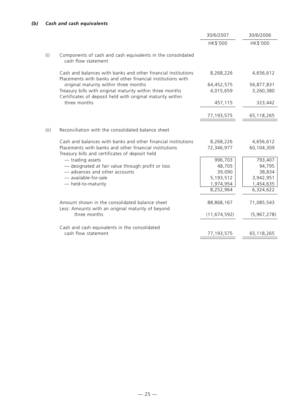|      |                                                                                                                              | 30/6/2007      | 30/6/2006   |
|------|------------------------------------------------------------------------------------------------------------------------------|----------------|-------------|
|      |                                                                                                                              | HK\$'000       | HK\$'000    |
| (i)  | Components of cash and cash equivalents in the consolidated<br>cash flow statement                                           |                |             |
|      | Cash and balances with banks and other financial institutions<br>Placements with banks and other financial institutions with | 8,268,226      | 4,656,612   |
|      | original maturity within three months                                                                                        | 64,452,575     | 56,877,831  |
|      | Treasury bills with original maturity within three months<br>Certificates of deposit held with original maturity within      | 4,015,659      | 3,260,380   |
|      | three months                                                                                                                 | 457,115        | 323,442     |
|      |                                                                                                                              | 77,193,575     | 65,118,265  |
| (ii) | Reconciliation with the consolidated balance sheet                                                                           |                |             |
|      | Cash and balances with banks and other financial institutions                                                                | 8,268,226      | 4,656,612   |
|      | Placements with banks and other financial institutions<br>Treasury bills and certificates of deposit held                    | 72,346,977     | 60,104,309  |
|      | $-$ trading assets                                                                                                           | 996,703        | 793,407     |
|      | - designated at fair value through profit or loss                                                                            | 48,705         | 94,795      |
|      | - advances and other accounts                                                                                                | 39,090         | 38,834      |
|      | - available-for-sale                                                                                                         | 5,193,512      | 3,942,951   |
|      | - held-to-maturity                                                                                                           | 1,974,954      | 1,454,635   |
|      |                                                                                                                              | 8,252,964      | 6,324,622   |
|      | Amount shown in the consolidated balance sheet<br>Less: Amounts with an original maturity of beyond                          | 88,868,167     | 71,085,543  |
|      | three months                                                                                                                 | (11, 674, 592) | (5,967,278) |
|      | Cash and cash equivalents in the consolidated                                                                                |                |             |
|      | cash flow statement                                                                                                          | 77,193,575     | 65,118,265  |
|      |                                                                                                                              |                |             |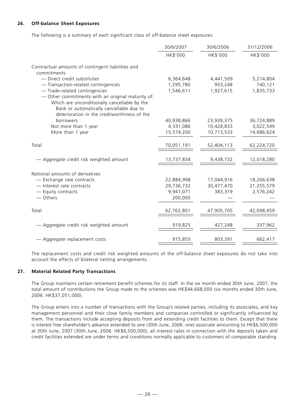# **26. Off-balance Sheet Exposures**

The following is a summary of each significant class of off-balance sheet exposures:

|                                                                                                                                                                                               | 30/6/2007              | 30/6/2006            | 31/12/2006           |
|-----------------------------------------------------------------------------------------------------------------------------------------------------------------------------------------------|------------------------|----------------------|----------------------|
|                                                                                                                                                                                               | HK\$'000               | HK\$'000             | HK\$'000             |
| Contractual amounts of contingent liabilities and                                                                                                                                             |                        |                      |                      |
| commitments                                                                                                                                                                                   |                        |                      |                      |
| - Direct credit substitutes                                                                                                                                                                   | 6,364,648              | 4,441,509            | 5,214,804            |
| - Transaction-related contingencies<br>- Trade-related contingencies                                                                                                                          | 1,295,780<br>1,546,611 | 953,248<br>1,927,615 | 740,121<br>1,835,733 |
| - Other commitments with an original maturity of:<br>Which are unconditionally cancellable by the<br>Bank or automatically cancellable due to<br>deterioration in the creditworthiness of the |                        |                      |                      |
| borrowers                                                                                                                                                                                     | 40,938,866             | 23,939,375           | 36,724,889           |
| Not more than 1 year                                                                                                                                                                          | 4,331,086              | 10,428,833           | 3,022,549            |
| More than 1 year                                                                                                                                                                              | 15,574,200             | 10,713,533           | 14,686,624           |
| Total                                                                                                                                                                                         | 70,051,191             | 52,404,113           | 62,224,720           |
| - Aggregate credit risk weighted amount                                                                                                                                                       | 13,737,834             | 9,438,732            | 12,018,280           |
| Notional amounts of derivatives                                                                                                                                                               |                        |                      |                      |
| - Exchange rate contracts                                                                                                                                                                     | 22,884,998             | 17,044,916           | 18,266,638           |
| - Interest rate contracts                                                                                                                                                                     | 29,736,732             | 30,477,470           | 21,255,579           |
| - Equity contracts                                                                                                                                                                            | 9,941,071              | 383,319              | 2,576,242            |
| — Others                                                                                                                                                                                      | 200,000                |                      |                      |
| Total                                                                                                                                                                                         | 62,762,801             | 47,905,705           | 42,098,459           |
| - Aggregate credit risk weighted amount                                                                                                                                                       | 919,825                | 427,248              | 337,962              |
| - Aggregate replacement costs                                                                                                                                                                 | 915,855                | 803,391              | 662,417              |

The replacement costs and credit risk weighted amounts of the off-balance sheet exposures do not take into account the effects of bilateral netting arrangements.

# **27. Material Related Party Transactions**

The Group maintains certain retirement benefit schemes for its staff. In the six month ended 30th June, 2007, the total amount of contributions the Group made to the schemes was HK\$44,668,000 (six months ended 30th June, 2006: HK\$37,051,000).

The Group enters into a number of transactions with the Group's related parties, including its associates, and key management personnel and their close family members and companies controlled or significantly influenced by them. The transactions include accepting deposits from and extending credit facilities to them. Except that there is interest free shareholder's advance extended to one (30th June, 2006: one) associate amounting to HK\$6,500,000 at 30th June, 2007 (30th June, 2006: HK\$6,500,000), all interest rates in connection with the deposits taken and credit facilities extended are under terms and conditions normally applicable to customers of comparable standing.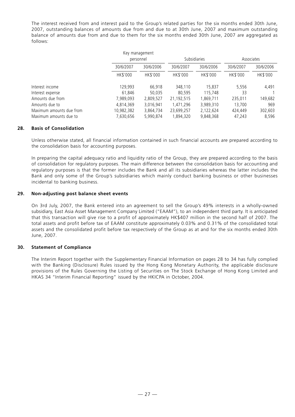The interest received from and interest paid to the Group's related parties for the six months ended 30th June, 2007, outstanding balances of amounts due from and due to at 30th June, 2007 and maximum outstanding balance of amounts due from and due to them for the six months ended 30th June, 2007 are aggregated as follows:

|                          | Key management |           |            |                     |           |            |
|--------------------------|----------------|-----------|------------|---------------------|-----------|------------|
|                          |                | personnel |            | <b>Subsidiaries</b> |           | Associates |
|                          | 30/6/2007      | 30/6/2006 | 30/6/2007  | 30/6/2006           | 30/6/2007 | 30/6/2006  |
|                          | HK\$'000       | HK\$'000  | HK\$'000   | HK\$'000            | HK\$'000  | HK\$'000   |
| Interest income          | 129,993        | 66,918    | 348,110    | 15,837              | 5,556     | 4,491      |
| Interest expense         | 61,846         | 50,035    | 80.595     | 115,748             | 33        |            |
| Amounts due from         | 7,989,093      | 2,809,527 | 21,192,515 | 1,869,711           | 235,011   | 149,682    |
| Amounts due to           | 4,814,369      | 3,016,941 | 1,471,296  | 3,989,310           | 13,700    | 969        |
| Maximum amounts due from | 10,982,382     | 3,864,734 | 23,699,257 | 2,122,624           | 424,449   | 302,603    |
| Maximum amounts due to   | 7,630,656      | 5,990,874 | 1,894,320  | 9,848,368           | 47,243    | 8,596      |

# **28. Basis of Consolidation**

Unless otherwise stated, all financial information contained in such financial accounts are prepared according to the consolidation basis for accounting purposes.

In preparing the capital adequacy ratio and liquidity ratio of the Group, they are prepared according to the basis of consolidation for regulatory purposes. The main difference between the consolidation basis for accounting and regulatory purposes is that the former includes the Bank and all its subsidiaries whereas the latter includes the Bank and only some of the Group's subsidiaries which mainly conduct banking business or other businesses incidental to banking business.

# **29. Non-adjusting post balance sheet events**

On 3rd July, 2007, the Bank entered into an agreement to sell the Group's 49% interests in a wholly-owned subsidiary, East Asia Asset Management Company Limited ("EAAM"), to an independent third party. It is anticipated that this transaction will give rise to a profit of approximately HK\$407 million in the second half of 2007. The total assets and profit before tax of EAAM constitute approximately 0.03% and 0.31% of the consolidated total assets and the consolidated profit before tax respectively of the Group as at and for the six months ended 30th June, 2007.

# **30. Statement of Compliance**

The Interim Report together with the Supplementary Financial Information on pages 28 to 34 has fully complied with the Banking (Disclosure) Rules issued by the Hong Kong Monetary Authority, the applicable disclosure provisions of the Rules Governing the Listing of Securities on The Stock Exchange of Hong Kong Limited and HKAS 34 "Interim Financial Reporting" issued by the HKICPA in October, 2004.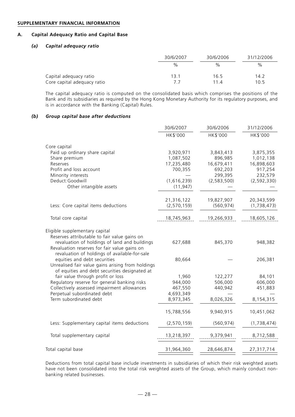#### **SUPPLEMENTARY FINANCIAL INFORMATION**

#### **A. Capital Adequacy Ratio and Capital Base**

# *(a) Capital adequacy ratio*

|                                                       | 30/6/2007  | 30/6/2006    | 31/12/2006   |
|-------------------------------------------------------|------------|--------------|--------------|
|                                                       | %          | $\%$         | %            |
| Capital adequacy ratio<br>Core capital adequacy ratio | 13.1<br>77 | 16.5<br>11.4 | 14.2<br>10.5 |

The capital adequacy ratio is computed on the consolidated basis which comprises the positions of the Bank and its subsidiaries as required by the Hong Kong Monetary Authority for its regulatory purposes, and is in accordance with the Banking (Capital) Rules.

#### *(b) Group capital base after deductions*

|                                                                                               | 30/6/2007     | 30/6/2006     | 31/12/2006    |
|-----------------------------------------------------------------------------------------------|---------------|---------------|---------------|
|                                                                                               | HK\$'000      | HK\$'000      | HK\$'000      |
| Core capital                                                                                  |               |               |               |
| Paid up ordinary share capital                                                                | 3,920,971     | 3,843,413     | 3,875,355     |
| Share premium                                                                                 | 1,087,502     | 896,985       | 1,012,138     |
| Reserves                                                                                      | 17,235,480    | 16,679,411    | 16,898,603    |
| Profit and loss account                                                                       | 700,355       | 692,203       | 917,254       |
| Minority interests                                                                            |               | 299,395       | 232,579       |
| Deduct: Goodwill                                                                              | (1,616,239)   | (2, 583, 500) | (2, 592, 330) |
| Other intangible assets                                                                       | (11, 947)     |               |               |
|                                                                                               | 21,316,122    | 19,827,907    | 20,343,599    |
| Less: Core capital items deductions                                                           | (2, 570, 159) | (560, 974)    | (1,738,473)   |
|                                                                                               |               |               |               |
| Total core capital                                                                            | 18,745,963    | 19,266,933    | 18,605,126    |
|                                                                                               |               |               |               |
| Eligible supplementary capital                                                                |               |               |               |
| Reserves attributable to fair value gains on<br>revaluation of holdings of land and buildings | 627,688       | 845,370       |               |
| Revaluation reserves for fair value gains on                                                  |               |               | 948,382       |
| revaluation of holdings of available-for-sale                                                 |               |               |               |
| equities and debt securities                                                                  | 80,664        |               | 206,381       |
| Unrealised fair value gains arising from holdings                                             |               |               |               |
| of equities and debt securities designated at                                                 |               |               |               |
| fair value through profit or loss                                                             | 1,960         | 122,277       | 84,101        |
| Regulatory reserve for general banking risks                                                  | 944,000       | 506,000       | 606,000       |
| Collectively assessed impairment allowances                                                   | 467,550       | 440,942       | 451,883       |
| Perpetual subordinated debt                                                                   | 4,693,349     |               |               |
| Term subordinated debt                                                                        | 8,973,345     | 8,026,326     | 8,154,315     |
|                                                                                               | 15,788,556    | 9,940,915     | 10,451,062    |
|                                                                                               |               |               |               |
| Less: Supplementary capital items deductions                                                  | (2,570,159)   | (560, 974)    | (1,738,474)   |
| Total supplementary capital                                                                   | 13,218,397    | 9,379,941     | 8,712,588     |
|                                                                                               |               |               |               |
| Total capital base                                                                            | 31,964,360    | 28,646,874    | 27,317,714    |
|                                                                                               |               |               |               |

Deductions from total capital base include investments in subsidiaries of which their risk weighted assets have not been consolidated into the total risk weighted assets of the Group, which mainly conduct nonbanking related businesses.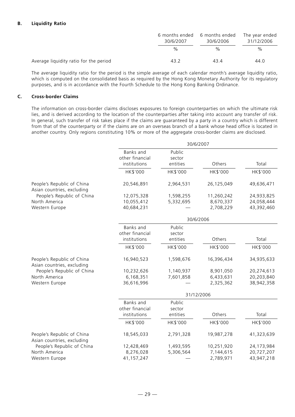# **B. Liquidity Ratio**

|                                        | 6 months ended<br>30/6/2007 | 6 months ended<br>30/6/2006 | The year ended<br>31/12/2006 |  |
|----------------------------------------|-----------------------------|-----------------------------|------------------------------|--|
|                                        | %                           | $\frac{0}{0}$               | $\%$                         |  |
| Average liquidity ratio for the period | 43.2                        | 43.4                        | 44.0                         |  |

The average liquidity ratio for the period is the simple average of each calendar month's average liquidity ratio, which is computed on the consolidated basis as required by the Hong Kong Monetary Authority for its regulatory purposes, and is in accordance with the Fourth Schedule to the Hong Kong Banking Ordinance.

# **C. Cross-border Claims**

The information on cross-border claims discloses exposures to foreign counterparties on which the ultimate risk lies, and is derived according to the location of the counterparties after taking into account any transfer of risk. In general, such transfer of risk takes place if the claims are guaranteed by a party in a country which is different from that of the counterparty or if the claims are on an overseas branch of a bank whose head office is located in another country. Only regions constituting 10% or more of the aggregate cross-border claims are disclosed.

|                                                          | 30/6/2007                                    |                              |            |            |  |
|----------------------------------------------------------|----------------------------------------------|------------------------------|------------|------------|--|
|                                                          | Banks and<br>other financial<br>institutions | Public<br>sector<br>entities | Others     | Total      |  |
|                                                          | HK\$'000                                     | HK\$'000                     | HK\$'000   | HK\$'000   |  |
| People's Republic of China<br>Asian countries, excluding | 20,546,891                                   | 2,964,531                    | 26,125,049 | 49,636,471 |  |
| People's Republic of China                               | 12,075,328                                   | 1,598,255                    | 11,260,242 | 24,933,825 |  |
| North America                                            | 10,055,412                                   | 5,332,695                    | 8,670,337  | 24,058,444 |  |
| Western Europe                                           | 40,684,231                                   |                              | 2,708,229  | 43,392,460 |  |
|                                                          | 30/6/2006                                    |                              |            |            |  |
|                                                          | Banks and<br>other financial                 | Public<br>sector             |            |            |  |
|                                                          | institutions                                 | entities                     | Others     | Total      |  |
|                                                          | HK\$'000                                     | HK\$'000                     | HK\$'000   | HK\$'000   |  |
| People's Republic of China<br>Asian countries, excluding | 16,940,523                                   | 1,598,676                    | 16,396,434 | 34,935,633 |  |
| People's Republic of China                               | 10,232,626                                   | 1,140,937                    | 8,901,050  | 20,274,613 |  |
| North America                                            | 6,168,351                                    | 7,601,858                    | 6,433,631  | 20,203,840 |  |
| Western Europe                                           | 36,616,996                                   |                              | 2,325,362  | 38,942,358 |  |
|                                                          | 31/12/2006                                   |                              |            |            |  |
|                                                          | Banks and                                    | Public                       |            |            |  |
|                                                          | other financial                              | sector                       |            |            |  |
|                                                          | institutions                                 | entities                     | Others     | Total      |  |
|                                                          | HK\$'000                                     | HK\$'000                     | HK\$'000   | HK\$'000   |  |
| People's Republic of China<br>Asian countries, excluding | 18,545,033                                   | 2,791,328                    | 19,987,278 | 41,323,639 |  |
| People's Republic of China                               | 12,428,469                                   | 1,493,595                    | 10,251,920 | 24,173,984 |  |
| North America                                            | 8,276,028                                    | 5,306,564                    | 7,144,615  | 20,727,207 |  |
| Western Europe                                           | 41,157,247                                   |                              | 2,789,971  | 43,947,218 |  |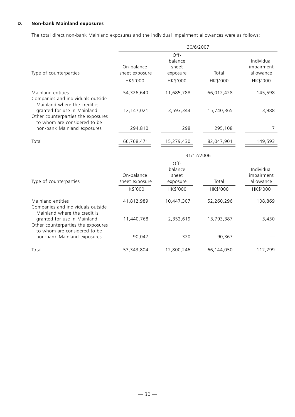# **D. Non-bank Mainland exposures**

The total direct non-bank Mainland exposures and the individual impairment allowances were as follows:

|                                                                                                   | 30/6/2007                    |                                      |            |                                       |  |
|---------------------------------------------------------------------------------------------------|------------------------------|--------------------------------------|------------|---------------------------------------|--|
| Type of counterparties                                                                            | On-balance<br>sheet exposure | Off-<br>balance<br>sheet<br>exposure | Total      | Individual<br>impairment<br>allowance |  |
|                                                                                                   | HK\$'000                     | HK\$'000                             | HK\$'000   | HK\$'000                              |  |
| Mainland entities<br>Companies and individuals outside<br>Mainland where the credit is            | 54,326,640                   | 11,685,788                           | 66,012,428 | 145,598                               |  |
| granted for use in Mainland<br>Other counterparties the exposures<br>to whom are considered to be | 12,147,021                   | 3,593,344                            | 15,740,365 | 3,988                                 |  |
| non-bank Mainland exposures                                                                       | 294,810                      | 298                                  | 295,108    | 7                                     |  |
| Total                                                                                             | 66,768,471                   | 15,279,430                           | 82,047,901 | 149,593                               |  |
|                                                                                                   |                              | 31/12/2006                           |            |                                       |  |
|                                                                                                   |                              | Off-                                 |            |                                       |  |
|                                                                                                   |                              | balance                              |            | Individual                            |  |
| Type of counterparties                                                                            | On-balance<br>sheet exposure | sheet<br>exposure                    | Total      | impairment<br>allowance               |  |
|                                                                                                   | HK\$'000                     | HK\$'000                             | HK\$'000   | HK\$'000                              |  |
| Mainland entities<br>Companies and individuals outside<br>Mainland where the credit is            | 41,812,989                   | 10,447,307                           | 52,260,296 | 108,869                               |  |
| granted for use in Mainland<br>Other counterparties the exposures<br>to whom are considered to be | 11,440,768                   | 2,352,619                            | 13,793,387 | 3,430                                 |  |
| non-bank Mainland exposures                                                                       | 90,047                       | 320                                  | 90,367     |                                       |  |
| Total                                                                                             | 53,343,804                   | 12,800,246                           | 66,144,050 | 112,299                               |  |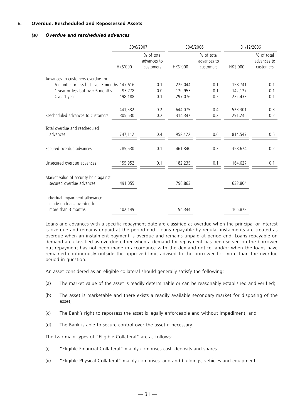# **E. Overdue, Rescheduled and Repossessed Assets**

# *(a) Overdue and rescheduled advances*

|                                              | 30/6/2007 |                                        | 30/6/2006 |                                        | 31/12/2006 |                                        |
|----------------------------------------------|-----------|----------------------------------------|-----------|----------------------------------------|------------|----------------------------------------|
|                                              | HK\$'000  | % of total<br>advances to<br>customers | HK\$'000  | % of total<br>advances to<br>customers | HK\$'000   | % of total<br>advances to<br>customers |
| Advances to customers overdue for            |           |                                        |           |                                        |            |                                        |
| - 6 months or less but over 3 months 147,616 |           | 0.1                                    | 226,044   | 0.1                                    | 158,741    | 0.1                                    |
| - 1 year or less but over 6 months           | 95,778    | 0.0                                    | 120,955   | 0.1                                    | 142,127    | 0.1                                    |
| - Over 1 year                                | 198,188   | 0.1                                    | 297,076   | 0.2                                    | 222,433    | 0.1                                    |
|                                              |           |                                        |           |                                        |            |                                        |
|                                              | 441,582   | 0.2                                    | 644,075   | 0.4                                    | 523,301    | 0.3                                    |
| Rescheduled advances to customers            | 305,530   | 0.2                                    | 314,347   | 0.2                                    | 291,246    | 0.2                                    |
|                                              |           |                                        |           |                                        |            |                                        |
| Total overdue and rescheduled                |           |                                        |           |                                        |            |                                        |
| advances                                     | 747,112   | 0.4                                    | 958,422   | 0.6                                    | 814,547    | 0.5                                    |
|                                              |           |                                        |           |                                        |            |                                        |
| Secured overdue advances                     | 285,630   | 0.1                                    | 461,840   | 0.3                                    | 358,674    | 0.2                                    |
|                                              |           |                                        |           |                                        |            |                                        |
| Unsecured overdue advances                   | 155,952   | 0.1                                    | 182,235   | 0.1                                    | 164,627    | 0.1                                    |
|                                              |           |                                        |           |                                        |            |                                        |
|                                              |           |                                        |           |                                        |            |                                        |
| Market value of security held against        |           |                                        |           |                                        |            |                                        |
| secured overdue advances                     | 491,055   |                                        | 790,863   |                                        | 633,804    |                                        |
|                                              |           |                                        |           |                                        |            |                                        |
| Individual impairment allowance              |           |                                        |           |                                        |            |                                        |
| made on loans overdue for                    |           |                                        |           |                                        |            |                                        |
| more than 3 months                           | 102,149   |                                        | 94,344    |                                        | 105,878    |                                        |

Loans and advances with a specific repayment date are classified as overdue when the principal or interest is overdue and remains unpaid at the period-end. Loans repayable by regular instalments are treated as overdue when an instalment payment is overdue and remains unpaid at period-end. Loans repayable on demand are classified as overdue either when a demand for repayment has been served on the borrower but repayment has not been made in accordance with the demand notice, and/or when the loans have remained continuously outside the approved limit advised to the borrower for more than the overdue period in question.

An asset considered as an eligible collateral should generally satisfy the following:

- (a) The market value of the asset is readily determinable or can be reasonably established and verified;
- (b) The asset is marketable and there exists a readily available secondary market for disposing of the asset;
- (c) The Bank's right to repossess the asset is legally enforceable and without impediment; and
- (d) The Bank is able to secure control over the asset if necessary.

The two main types of "Eligible Collateral" are as follows:

- (i) "Eligible Financial Collateral" mainly comprises cash deposits and shares.
- (ii) "Eligible Physical Collateral" mainly comprises land and buildings, vehicles and equipment.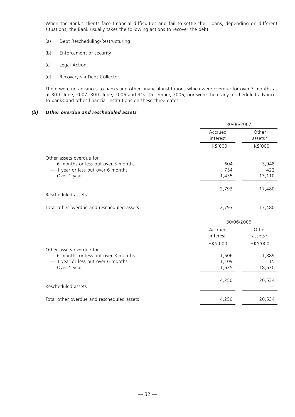When the Bank's clients face financial difficulties and fail to settle their loans, depending on different situations, the Bank usually takes the following actions to recover the debt:

- (a) Debt Rescheduling/Restructuring
- (b) Enforcement of security
- (c) Legal Action
- (d) Recovery via Debt Collector

There were no advances to banks and other financial institutions which were overdue for over 3 months as at 30th June, 2007, 30th June, 2006 and 31st December, 2006; nor were there any rescheduled advances to banks and other financial institutions on these three dates.

# *(b) Other overdue and rescheduled assets*

|                                                                 | 30/06/2007          |                  |  |
|-----------------------------------------------------------------|---------------------|------------------|--|
|                                                                 | Accrued<br>interest | Other<br>assets* |  |
|                                                                 | HK\$'000            | HK\$'000         |  |
| Other assets overdue for                                        |                     |                  |  |
| - 6 months or less but over 3 months                            | 604                 | 3,948            |  |
| - 1 year or less but over 6 months                              | 754                 | 422              |  |
| - Over 1 year                                                   | 1,435               | 13,110           |  |
|                                                                 | 2,793               | 17,480           |  |
| Rescheduled assets                                              |                     |                  |  |
| Total other overdue and rescheduled assets                      | 2,793               | 17,480           |  |
|                                                                 | 30/06/2006          |                  |  |
|                                                                 | Accrued             | Other            |  |
|                                                                 | interest            | assets*          |  |
|                                                                 | HK\$'000            | HK\$'000         |  |
| Other assets overdue for<br>-6 months or less but over 3 months | 1,506               | 1,889            |  |
| - 1 year or less but over 6 months                              | 1,109               | 15               |  |
| - Over 1 year                                                   | 1,635               | 18,630           |  |
|                                                                 | 4,250               | 20,534           |  |
| Rescheduled assets                                              |                     |                  |  |
| Total other overdue and rescheduled assets                      | 4,250               | 20,534           |  |
|                                                                 |                     |                  |  |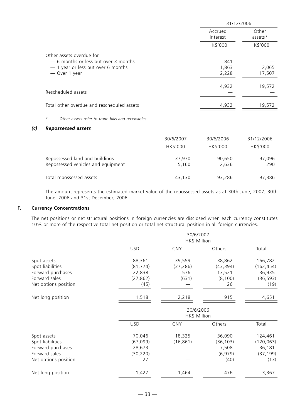|                                                                                                                 | 31/12/2006          |                  |  |
|-----------------------------------------------------------------------------------------------------------------|---------------------|------------------|--|
|                                                                                                                 | Accrued<br>interest | Other<br>assets* |  |
|                                                                                                                 | HK\$'000            | HK\$'000         |  |
| Other assets overdue for                                                                                        |                     |                  |  |
| -6 months or less but over 3 months                                                                             | 841                 |                  |  |
| - 1 year or less but over 6 months                                                                              | 1,863               | 2,065            |  |
| - Over 1 year                                                                                                   | 2,228               | 17,507           |  |
|                                                                                                                 | 4,932               | 19,572           |  |
| Rescheduled assets                                                                                              |                     |                  |  |
| Total other overdue and rescheduled assets                                                                      | 4,932               | 19,572           |  |
| Other assets refer to trade bills and receivables.<br>$^{\star}$                                                |                     |                  |  |
| the contract of the contract of the contract of the contract of the contract of the contract of the contract of |                     |                  |  |

# *(c) Repossessed assets*

|                                    | 30/6/2007 | 30/6/2006 | 31/12/2006 |
|------------------------------------|-----------|-----------|------------|
|                                    | HK\$'000  | HK\$'000  | HK\$'000   |
| Repossessed land and buildings     | 37,970    | 90,650    | 97,096     |
| Repossessed vehicles and equipment | 5,160     | 2,636     | 290        |
| Total repossessed assets           | 43,130    | 93,286    | 97,386     |

The amount represents the estimated market value of the repossessed assets as at 30th June, 2007, 30th June, 2006 and 31st December, 2006.

# **F. Currency Concentrations**

The net positions or net structural positions in foreign currencies are disclosed when each currency constitutes 10% or more of the respective total net position or total net structural position in all foreign currencies.

|                      |            | 30/6/2007<br>HK\$ Million |           |            |  |
|----------------------|------------|---------------------------|-----------|------------|--|
|                      | <b>USD</b> | <b>CNY</b>                | Others    | Total      |  |
| Spot assets          | 88,361     | 39,559                    | 38,862    | 166,782    |  |
| Spot liabilities     | (81, 774)  | (37, 286)                 | (43, 394) | (162, 454) |  |
| Forward purchases    | 22,838     | 576                       | 13,521    | 36,935     |  |
| Forward sales        | (27, 862)  | (631)                     | (8, 100)  | (36, 593)  |  |
| Net options position | (45)       |                           | 26        | (19)       |  |
| Net long position    | 1,518      | 2,218                     | 915       | 4,651      |  |
|                      |            | 30/6/2006<br>HK\$ Million |           |            |  |
|                      | <b>USD</b> | <b>CNY</b>                | Others    | Total      |  |
| Spot assets          | 70,046     | 18,325                    | 36,090    | 124,461    |  |
| Spot liabilities     | (67, 099)  | (16, 861)                 | (36, 103) | (120, 063) |  |
| Forward purchases    | 28,673     |                           | 7,508     | 36,181     |  |
| Forward sales        | (30, 220)  |                           | (6, 979)  | (37, 199)  |  |
| Net options position | 27         |                           | (40)      | (13)       |  |
| Net long position    | 1,427      | 1,464                     | 476       | 3,367      |  |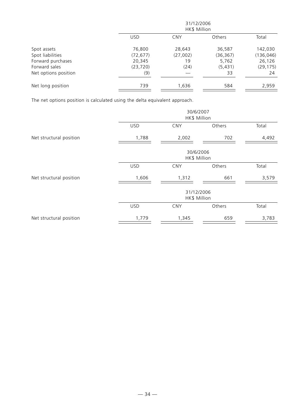|                      |            | 31/12/2006<br>HK\$ Million |               |            |  |  |
|----------------------|------------|----------------------------|---------------|------------|--|--|
|                      | <b>USD</b> | <b>CNY</b>                 | <b>Others</b> | Total      |  |  |
| Spot assets          | 76,800     | 28,643                     | 36,587        | 142,030    |  |  |
| Spot liabilities     | (72, 677)  | (27,002)                   | (36, 367)     | (136, 046) |  |  |
| Forward purchases    | 20,345     | 19                         | 5,762         | 26,126     |  |  |
| Forward sales        | (23, 720)  | (24)                       | (5, 431)      | (29, 175)  |  |  |
| Net options position | (9)        |                            | 33            | 24         |  |  |
| Net long position    | 739        | 1,636                      | 584           | 2,959      |  |  |

The net options position is calculated using the delta equivalent approach.

|                         | 30/6/2007<br>HK\$ Million |                            |        |       |
|-------------------------|---------------------------|----------------------------|--------|-------|
|                         | <b>USD</b>                | CNY                        | Others | Total |
| Net structural position | 1,788                     | 2,002                      | 702    | 4,492 |
|                         |                           | 30/6/2006<br>HK\$ Million  |        |       |
|                         | <b>USD</b>                | <b>CNY</b>                 | Others | Total |
| Net structural position | 1,606                     | 1,312                      | 661    | 3,579 |
|                         |                           | 31/12/2006<br>HK\$ Million |        |       |
|                         | <b>USD</b>                | <b>CNY</b>                 | Others | Total |
| Net structural position | 1,779                     | 1,345                      | 659    | 3,783 |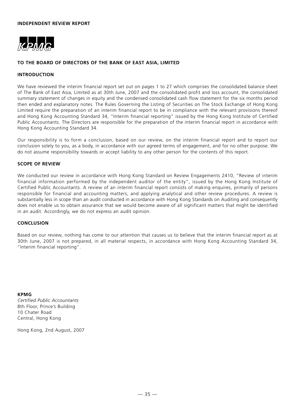

# **TO THE BOARD OF DIRECTORS OF THE BANK OF EAST ASIA, LIMITED**

#### **INTRODUCTION**

We have reviewed the interim financial report set out on pages 1 to 27 which comprises the consolidated balance sheet of The Bank of East Asia, Limited as at 30th June, 2007 and the consolidated profit and loss account, the consolidated summary statement of changes in equity and the condensed consolidated cash flow statement for the six months period then ended and explanatory notes. The Rules Governing the Listing of Securities on The Stock Exchange of Hong Kong Limited require the preparation of an interim financial report to be in compliance with the relevant provisions thereof and Hong Kong Accounting Standard 34, "Interim financial reporting" issued by the Hong Kong Institute of Certified Public Accountants. The Directors are responsible for the preparation of the interim financial report in accordance with Hong Kong Accounting Standard 34.

Our responsibility is to form a conclusion, based on our review, on the interim financial report and to report our conclusion solely to you, as a body, in accordance with our agreed terms of engagement, and for no other purpose. We do not assume responsibility towards or accept liability to any other person for the contents of this report.

#### **SCOPE OF REVIEW**

We conducted our review in accordance with Hong Kong Standard on Review Engagements 2410, "Review of interim financial information performed by the independent auditor of the entity", issued by the Hong Kong Institute of Certified Public Accountants. A review of an interim financial report consists of making enquires, primarily of persons responsible for financial and accounting matters, and applying analytical and other review procedures. A review is substantially less in scope than an audit conducted in accordance with Hong Kong Standards on Auditing and consequently does not enable us to obtain assurance that we would become aware of all significant matters that might be identified in an audit. Accordingly, we do not express an audit opinion.

#### **CONCLUSION**

Based on our review, nothing has come to our attention that causes us to believe that the interim financial report as at 30th June, 2007 is not prepared, in all material respects, in accordance with Hong Kong Accounting Standard 34, "Interim financial reporting".

**KPMG** *Certified Public Accountants* 8th Floor, Prince's Building 10 Chater Road Central, Hong Kong

Hong Kong, 2nd August, 2007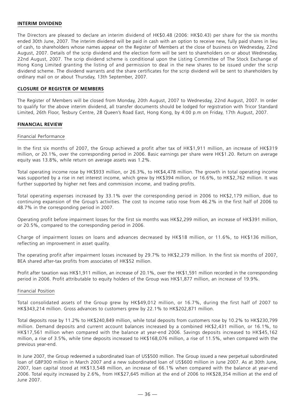# **INTERIM DIVIDEND**

The Directors are pleased to declare an interim dividend of HK\$0.48 (2006: HK\$0.43) per share for the six months ended 30th June, 2007. The interim dividend will be paid in cash with an option to receive new, fully paid shares in lieu of cash, to shareholders whose names appear on the Register of Members at the close of business on Wednesday, 22nd August, 2007. Details of the scrip dividend and the election form will be sent to shareholders on or about Wednesday, 22nd August, 2007. The scrip dividend scheme is conditional upon the Listing Committee of The Stock Exchange of Hong Kong Limited granting the listing of and permission to deal in the new shares to be issued under the scrip dividend scheme. The dividend warrants and the share certificates for the scrip dividend will be sent to shareholders by ordinary mail on or about Thursday, 13th September, 2007.

#### **CLOSURE OF REGISTER OF MEMBERS**

The Register of Members will be closed from Monday, 20th August, 2007 to Wednesday, 22nd August, 2007. In order to qualify for the above interim dividend, all transfer documents should be lodged for registration with Tricor Standard Limited, 26th Floor, Tesbury Centre, 28 Queen's Road East, Hong Kong, by 4:00 p.m on Friday, 17th August, 2007.

#### **FINANCIAL REVIEW**

#### Financial Performance

In the first six months of 2007, the Group achieved a profit after tax of HK\$1,911 million, an increase of HK\$319 million, or 20.1%, over the corresponding period in 2006. Basic earnings per share were HK\$1.20. Return on average equity was 13.8%, while return on average assets was 1.2%.

Total operating income rose by HK\$933 million, or 26.3%, to HK\$4,478 million. The growth in total operating income was supported by a rise in net interest income, which grew by HK\$394 million, or 16.6%, to HK\$2,762 million. It was further supported by higher net fees and commission income, and trading profits.

Total operating expenses increased by 33.1% over the corresponding period in 2006 to HK\$2,179 million, due to continuing expansion of the Group's activities. The cost to income ratio rose from 46.2% in the first half of 2006 to 48.7% in the corresponding period in 2007.

Operating profit before impairment losses for the first six months was HK\$2,299 million, an increase of HK\$391 million, or 20.5%, compared to the corresponding period in 2006.

Charge of impairment losses on loans and advances decreased by HK\$18 million, or 11.6%, to HK\$136 million, reflecting an improvement in asset quality.

The operating profit after impairment losses increased by 29.7% to HK\$2,279 million. In the first six months of 2007, BEA shared after-tax profits from associates of HK\$52 million.

Profit after taxation was HK\$1,911 million, an increase of 20.1%, over the HK\$1,591 million recorded in the corresponding period in 2006. Profit attributable to equity holders of the Group was HK\$1,877 million, an increase of 19.9%.

#### Financial Position

Total consolidated assets of the Group grew by HK\$49,012 million, or 16.7%, during the first half of 2007 to HK\$343,214 million. Gross advances to customers grew by 22.1% to HK\$202,871 million.

Total deposits rose by 11.2% to HK\$240,849 million, while total deposits from customers rose by 10.2% to HK\$230,799 million. Demand deposits and current account balances increased by a combined HK\$2,431 million, or 16.1%, to HK\$17,561 million when compared with the balance at year-end 2006. Savings deposits increased to HK\$45,162 million, a rise of 3.5%, while time deposits increased to HK\$168,076 million, a rise of 11.5%, when compared with the previous year-end.

In June 2007, the Group redeemed a subordinated loan of US\$500 million. The Group issued a new perpetual subordinated loan of GBP300 million in March 2007 and a new subordinated loan of US\$600 million in June 2007. As at 30th June, 2007, loan capital stood at HK\$13,548 million, an increase of 66.1% when compared with the balance at year-end 2006. Total equity increased by 2.6%, from HK\$27,645 million at the end of 2006 to HK\$28,354 million at the end of June 2007.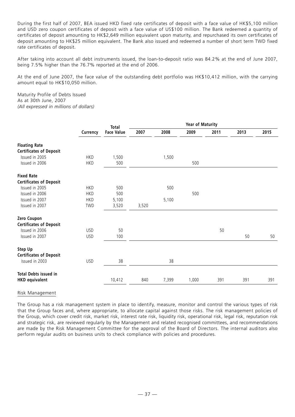During the first half of 2007, BEA issued HKD fixed rate certificates of deposit with a face value of HK\$5,100 million and USD zero coupon certificates of deposit with a face value of US\$100 million. The Bank redeemed a quantity of certificates of deposit amounting to HK\$2,649 million equivalent upon maturity, and repurchased its own certificates of deposit amounting to HK\$25 million equivalent. The Bank also issued and redeemed a number of short term TWD fixed rate certificates of deposit.

After taking into account all debt instruments issued, the loan-to-deposit ratio was 84.2% at the end of June 2007, being 7.5% higher than the 76.7% reported at the end of 2006.

At the end of June 2007, the face value of the outstanding debt portfolio was HK\$10,412 million, with the carrying amount equal to HK\$10,050 million.

Maturity Profile of Debts Issued As at 30th June, 2007 *(All expressed in millions of dollars)*

|                                | Currency   | <b>Total</b>      | <b>Year of Maturity</b> |       |       |      |      |      |
|--------------------------------|------------|-------------------|-------------------------|-------|-------|------|------|------|
|                                |            | <b>Face Value</b> | 2007                    | 2008  | 2009  | 2011 | 2013 | 2015 |
| <b>Floating Rate</b>           |            |                   |                         |       |       |      |      |      |
| <b>Certificates of Deposit</b> |            |                   |                         |       |       |      |      |      |
| Issued in 2005                 | <b>HKD</b> | 1,500             |                         | 1,500 |       |      |      |      |
| Issued in 2006                 | <b>HKD</b> | 500               |                         |       | 500   |      |      |      |
| <b>Fixed Rate</b>              |            |                   |                         |       |       |      |      |      |
| <b>Certificates of Deposit</b> |            |                   |                         |       |       |      |      |      |
| Issued in 2005                 | <b>HKD</b> | 500               |                         | 500   |       |      |      |      |
| Issued in 2006                 | <b>HKD</b> | 500               |                         |       | 500   |      |      |      |
| Issued in 2007                 | <b>HKD</b> | 5,100             |                         | 5,100 |       |      |      |      |
| Issued in 2007                 | TWD        | 3,520             | 3,520                   |       |       |      |      |      |
| Zero Coupon                    |            |                   |                         |       |       |      |      |      |
| <b>Certificates of Deposit</b> |            |                   |                         |       |       |      |      |      |
| Issued in 2006                 | <b>USD</b> | 50                |                         |       |       | 50   |      |      |
| Issued in 2007                 | <b>USD</b> | 100               |                         |       |       |      | 50   | 50   |
| Step Up                        |            |                   |                         |       |       |      |      |      |
| <b>Certificates of Deposit</b> |            |                   |                         |       |       |      |      |      |
| Issued in 2003                 | <b>USD</b> | 38                |                         | 38    |       |      |      |      |
| <b>Total Debts issued in</b>   |            |                   |                         |       |       |      |      |      |
| <b>HKD equivalent</b>          |            | 10,412            | 840                     | 7,399 | 1,000 | 391  | 391  | 391  |
|                                |            |                   |                         |       |       |      |      |      |

#### Risk Management

The Group has a risk management system in place to identify, measure, monitor and control the various types of risk that the Group faces and, where appropriate, to allocate capital against those risks. The risk management policies of the Group, which cover credit risk, market risk, interest rate risk, liquidity risk, operational risk, legal risk, reputation risk and strategic risk, are reviewed regularly by the Management and related recognised committees, and recommendations are made by the Risk Management Committee for the approval of the Board of Directors. The internal auditors also perform regular audits on business units to check compliance with policies and procedures.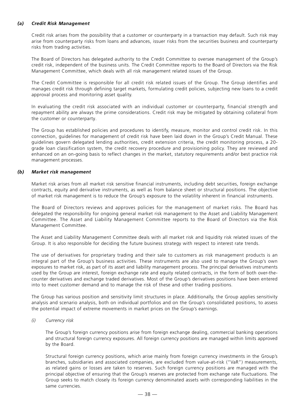# *(a) Credit Risk Management*

Credit risk arises from the possibility that a customer or counterparty in a transaction may default. Such risk may arise from counterparty risks from loans and advances, issuer risks from the securities business and counterparty risks from trading activities.

The Board of Directors has delegated authority to the Credit Committee to oversee management of the Group's credit risk, independent of the business units. The Credit Committee reports to the Board of Directors via the Risk Management Committee, which deals with all risk management related issues of the Group.

The Credit Committee is responsible for all credit risk related issues of the Group. The Group identifies and manages credit risk through defining target markets, formulating credit policies, subjecting new loans to a credit approval process and monitoring asset quality.

In evaluating the credit risk associated with an individual customer or counterparty, financial strength and repayment ability are always the prime considerations. Credit risk may be mitigated by obtaining collateral from the customer or counterparty.

The Group has established policies and procedures to identify, measure, monitor and control credit risk. In this connection, guidelines for management of credit risk have been laid down in the Group's Credit Manual. These guidelines govern delegated lending authorities, credit extension criteria, the credit monitoring process, a 20 grade loan classification system, the credit recovery procedure and provisioning policy. They are reviewed and enhanced on an on-going basis to reflect changes in the market, statutory requirements and/or best practice risk management processes.

# *(b) Market risk management*

Market risk arises from all market risk sensitive financial instruments, including debt securities, foreign exchange contracts, equity and derivative instruments, as well as from balance sheet or structural positions. The objective of market risk management is to reduce the Group's exposure to the volatility inherent in financial instruments.

The Board of Directors reviews and approves policies for the management of market risks. The Board has delegated the responsibility for ongoing general market risk management to the Asset and Liability Management Committee. The Asset and Liability Management Committee reports to the Board of Directors via the Risk Management Committee.

The Asset and Liability Management Committee deals with all market risk and liquidity risk related issues of the Group. It is also responsible for deciding the future business strategy with respect to interest rate trends.

The use of derivatives for proprietary trading and their sale to customers as risk management products is an integral part of the Group's business activities. These instruments are also used to manage the Group's own exposures to market risk, as part of its asset and liability management process. The principal derivatives instruments used by the Group are interest, foreign exchange rate and equity related contracts, in the form of both over-thecounter derivatives and exchange traded derivatives. Most of the Group's derivatives positions have been entered into to meet customer demand and to manage the risk of these and other trading positions.

The Group has various position and sensitivity limit structures in place. Additionally, the Group applies sensitivity analysis and scenario analysis, both on individual portfolios and on the Group's consolidated positions, to assess the potential impact of extreme movements in market prices on the Group's earnings.

*(i) Currency risk*

The Group's foreign currency positions arise from foreign exchange dealing, commercial banking operations and structural foreign currency exposures. All foreign currency positions are managed within limits approved by the Board.

Structural foreign currency positions, which arise mainly from foreign currency investments in the Group's branches, subsidiaries and associated companies, are excluded from value-at-risk ("VaR") measurements, as related gains or losses are taken to reserves. Such foreign currency positions are managed with the principal objective of ensuring that the Group's reserves are protected from exchange rate fluctuations. The Group seeks to match closely its foreign currency denominated assets with corresponding liabilities in the same currencies.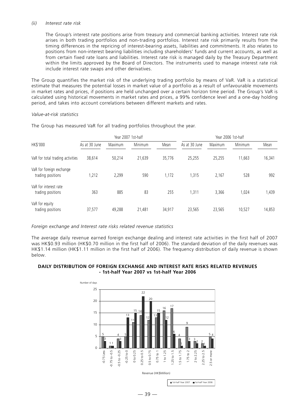#### *(ii) Interest rate risk*

The Group's interest rate positions arise from treasury and commercial banking activities. Interest rate risk arises in both trading portfolios and non-trading portfolios. Interest rate risk primarily results from the timing differences in the repricing of interest-bearing assets, liabilities and commitments. It also relates to positions from non-interest bearing liabilities including shareholders' funds and current accounts, as well as from certain fixed rate loans and liabilities. Interest rate risk is managed daily by the Treasury Department within the limits approved by the Board of Directors. The instruments used to manage interest rate risk include interest rate swaps and other derivatives.

The Group quantifies the market risk of the underlying trading portfolio by means of VaR. VaR is a statistical estimate that measures the potential losses in market value of a portfolio as a result of unfavourable movements in market rates and prices, if positions are held unchanged over a certain horizon time period. The Group's VaR is calculated using historical movements in market rates and prices, a 99% confidence level and a one-day holding period, and takes into account correlations between different markets and rates.

#### *Value-at-risk statistics*

|                                               | Year 2007 1st-half |         |         | Year 2006 1st-half |               |         |         |        |
|-----------------------------------------------|--------------------|---------|---------|--------------------|---------------|---------|---------|--------|
| HK\$'000                                      | As at 30 June      | Maximum | Minimum | Mean               | As at 30 June | Maximum | Minimum | Mean   |
| VaR for total trading activities              | 38,614             | 50,214  | 21,639  | 35,776             | 25,255        | 25,255  | 11,663  | 16,341 |
| VaR for foreign exchange<br>trading positions | 1,212              | 2,299   | 590     | 1,172              | 1,315         | 2,167   | 528     | 992    |
| VaR for interest rate<br>trading positions    | 363                | 885     | 83      | 255                | .311          | 3,366   | 1,024   | 1,439  |
| VaR for equity<br>trading positions           | 37,577             | 49,288  | 21,481  | 34,917             | 23,565        | 23,565  | 10,527  | 14,853 |

The Group has measured VaR for all trading portfolios throughout the year.

#### *Foreign exchange and Interest rate risks related revenue statistics*

The average daily revenue earned foreign exchange dealing and interest rate activities in the first half of 2007 was HK\$0.93 million (HK\$0.70 million in the first half of 2006). The standard deviation of the daily revenues was HK\$1.14 million (HK\$1.11 million in the first half of 2006). The frequency distribution of daily revenue is shown below.

#### **DAILY DISTRIBUTION OF FOREIGN EXCHANGE AND INTEREST RATE RISKS RELATED REVENUES - 1st-half Year 2007 vs 1st-half Year 2006**

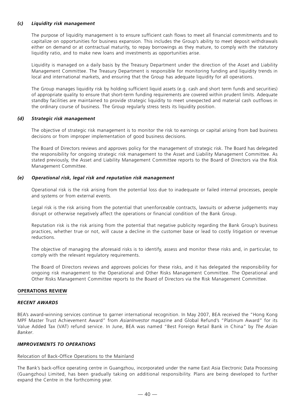# *(c) Liquidity risk management*

The purpose of liquidity management is to ensure sufficient cash flows to meet all financial commitments and to capitalize on opportunities for business expansion. This includes the Group's ability to meet deposit withdrawals either on demand or at contractual maturity, to repay borrowings as they mature, to comply with the statutory liquidity ratio, and to make new loans and investments as opportunities arise.

Liquidity is managed on a daily basis by the Treasury Department under the direction of the Asset and Liability Management Committee. The Treasury Department is responsible for monitoring funding and liquidity trends in local and international markets, and ensuring that the Group has adequate liquidity for all operations.

The Group manages liquidity risk by holding sufficient liquid assets (e.g. cash and short term funds and securities) of appropriate quality to ensure that short-term funding requirements are covered within prudent limits. Adequate standby facilities are maintained to provide strategic liquidity to meet unexpected and material cash outflows in the ordinary course of business. The Group regularly stress tests its liquidity position.

# *(d) Strategic risk management*

The objective of strategic risk management is to monitor the risk to earnings or capital arising from bad business decisions or from improper implementation of good business decisions.

The Board of Directors reviews and approves policy for the management of strategic risk. The Board has delegated the responsibility for ongoing strategic risk management to the Asset and Liability Management Committee. As stated previously, the Asset and Liability Management Committee reports to the Board of Directors via the Risk Management Committee.

#### *(e) Operational risk, legal risk and reputation risk management*

Operational risk is the risk arising from the potential loss due to inadequate or failed internal processes, people and systems or from external events.

Legal risk is the risk arising from the potential that unenforceable contracts, lawsuits or adverse judgements may disrupt or otherwise negatively affect the operations or financial condition of the Bank Group.

Reputation risk is the risk arising from the potential that negative publicity regarding the Bank Group's business practices, whether true or not, will cause a decline in the customer base or lead to costly litigation or revenue reductions.

The objective of managing the aforesaid risks is to identify, assess and monitor these risks and, in particular, to comply with the relevant regulatory requirements.

The Board of Directors reviews and approves policies for these risks, and it has delegated the responsibility for ongoing risk management to the Operational and Other Risks Management Committee. The Operational and Other Risks Management Committee reports to the Board of Directors via the Risk Management Committee.

#### **OPERATIONS REVIEW**

#### *RECENT AWARDS*

BEA's award-winning services continue to garner international recognition. In May 2007, BEA received the "Hong Kong MPF Master Trust Achievement Award" from *AsianInvestor* magazine and Global Refund's "Platinum Award" for its Value Added Tax (VAT) refund service. In June, BEA was named "Best Foreign Retail Bank in China" by *The Asian Banker*.

### *IMPROVEMENTS TO OPERATIONS*

#### Relocation of Back-Office Operations to the Mainland

The Bank's back-office operating centre in Guangzhou, incorporated under the name East Asia Electronic Data Processing (Guangzhou) Limited, has been gradually taking on additional responsibility. Plans are being developed to further expand the Centre in the forthcoming year.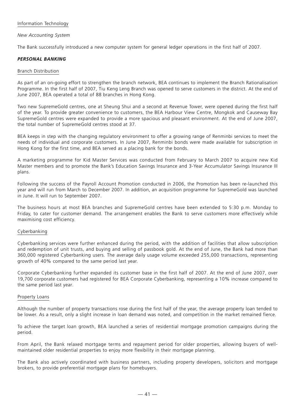# Information Technology

# *New Accounting System*

The Bank successfully introduced a new computer system for general ledger operations in the first half of 2007.

# *PERSONAL BANKING*

#### Branch Distribution

As part of an on-going effort to strengthen the branch network, BEA continues to implement the Branch Rationalisation Programme. In the first half of 2007, Tiu Keng Leng Branch was opened to serve customers in the district. At the end of June 2007, BEA operated a total of 88 branches in Hong Kong.

Two new SupremeGold centres, one at Sheung Shui and a second at Revenue Tower, were opened during the first half of the year. To provide greater convenience to customers, the BEA Harbour View Centre, Mongkok and Causeway Bay SupremeGold centres were expanded to provide a more spacious and pleasant environment. At the end of June 2007, the total number of SupremeGold centres stood at 37.

BEA keeps in step with the changing regulatory environment to offer a growing range of Renminbi services to meet the needs of individual and corporate customers. In June 2007, Renminbi bonds were made available for subscription in Hong Kong for the first time, and BEA served as a placing bank for the bonds.

A marketing programme for Kid Master Services was conducted from February to March 2007 to acquire new Kid Master members and to promote the Bank's Education Savings Insurance and 3-Year Accumulator Savings Insurance III plans.

Following the success of the Payroll Account Promotion conducted in 2006, the Promotion has been re-launched this year and will run from March to December 2007. In addition, an acquisition programme for SupremeGold was launched in June. It will run to September 2007.

The business hours at most BEA branches and SupremeGold centres have been extended to 5:30 p.m. Monday to Friday, to cater for customer demand. The arrangement enables the Bank to serve customers more effectively while maximising cost efficiency.

# Cyberbanking

Cyberbanking services were further enhanced during the period, with the addition of facilities that allow subscription and redemption of unit trusts, and buying and selling of passbook gold. At the end of June, the Bank had more than 360,000 registered Cyberbanking users. The average daily usage volume exceeded 255,000 transactions, representing growth of 40% compared to the same period last year.

Corporate Cyberbanking further expanded its customer base in the first half of 2007. At the end of June 2007, over 19,700 corporate customers had registered for BEA Corporate Cyberbanking, representing a 10% increase compared to the same period last year.

#### Property Loans

Although the number of property transactions rose during the first half of the year, the average property loan tended to be lower. As a result, only a slight increase in loan demand was noted, and competition in the market remained fierce.

To achieve the target loan growth, BEA launched a series of residential mortgage promotion campaigns during the period.

From April, the Bank relaxed mortgage terms and repayment period for older properties, allowing buyers of wellmaintained older residential properties to enjoy more flexibility in their mortgage planning.

The Bank also actively coordinated with business partners, including property developers, solicitors and mortgage brokers, to provide preferential mortgage plans for homebuyers.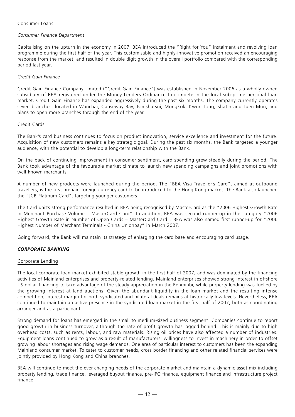# Consumer Loans

# *Consumer Finance Department*

Capitalising on the upturn in the economy in 2007, BEA introduced the "Right for You" instalment and revolving loan programme during the first half of the year. This customisable and highly-innovative promotion received an encouraging response from the market, and resulted in double digit growth in the overall portfolio compared with the corresponding period last year.

# *Credit Gain Finance*

Credit Gain Finance Company Limited ("Credit Gain Finance") was established in November 2006 as a wholly-owned subsidiary of BEA registered under the Money Lenders Ordinance to compete in the local sub-prime personal loan market. Credit Gain Finance has expanded aggressively during the past six months. The company currently operates seven branches, located in Wanchai, Causeway Bay, Tsimshatsui, Mongkok, Kwun Tong, Shatin and Tuen Mun, and plans to open more branches through the end of the year.

#### Credit Cards

The Bank's card business continues to focus on product innovation, service excellence and investment for the future. Acquisition of new customers remains a key strategic goal. During the past six months, the Bank targeted a younger audience, with the potential to develop a long-term relationship with the Bank.

On the back of continuing improvement in consumer sentiment, card spending grew steadily during the period. The Bank took advantage of the favourable market climate to launch new spending campaigns and joint promotions with well-known merchants.

A number of new products were launched during the period. The "BEA Visa Traveller's Card", aimed at outbound travellers, is the first prepaid foreign currency card to be introduced to the Hong Kong market. The Bank also launched the "JCB Platinum Card", targeting younger customers.

The Card unit's strong performance resulted in BEA being recognised by MasterCard as the "2006 Highest Growth Rate in Merchant Purchase Volume – MasterCard Card". In addition, BEA was second runner-up in the category "2006 Highest Growth Rate in Number of Open Cards – MasterCard Card". BEA was also named first runner-up for "2006 Highest Number of Merchant Terminals - China Unionpay" in March 2007.

Going forward, the Bank will maintain its strategy of enlarging the card base and encouraging card usage.

# *CORPORATE BANKING*

#### Corporate Lending

The local corporate loan market exhibited stable growth in the first half of 2007, and was dominated by the financing activities of Mainland enterprises and property-related lending. Mainland enterprises showed strong interest in offshore US dollar financing to take advantage of the steady appreciation in the Renminbi, while property lending was fuelled by the growing interest at land auctions. Given the abundant liquidity in the loan market and the resulting intense competition, interest margin for both syndicated and bilateral deals remains at historically low levels. Nevertheless, BEA continued to maintain an active presence in the syndicated loan market in the first half of 2007, both as coordinating arranger and as a participant.

Strong demand for loans has emerged in the small to medium-sized business segment. Companies continue to report good growth in business turnover, although the rate of profit growth has lagged behind. This is mainly due to high overhead costs, such as rents, labour, and raw materials. Rising oil prices have also affected a number of industries. Equipment loans continued to grow as a result of manufacturers' willingness to invest in machinery in order to offset growing labour shortages and rising wage demands. One area of particular interest to customers has been the expanding Mainland consumer market. To cater to customer needs, cross border financing and other related financial services were jointly provided by Hong Kong and China branches.

BEA will continue to meet the ever-changing needs of the corporate market and maintain a dynamic asset mix including property lending, trade finance, leveraged buyout finance, pre-IPO finance, equipment finance and infrastructure project finance.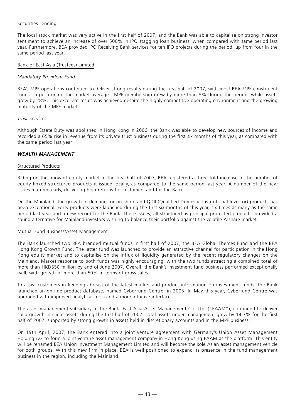# Securities Lending

The local stock market was very active in the first half of 2007, and the Bank was able to capitalise on strong investor sentiment to achieve an increase of over 500% in IPO stagging loan business, when compared with same period last year. Furthermore, BEA provided IPO Receiving Bank services for ten IPO projects during the period, up from four in the same period last year.

#### Bank of East Asia (Trustees) Limited

# *Mandatory Provident Fund*

BEA's MPF operations continued to deliver strong results during the first half of 2007, with most BEA MPF constituent funds outperforming the market average . MPF membership grew by more than 8% during the period, while assets grew by 28%. This excellent result was achieved despite the highly competitive operating environment and the growing maturity of the MPF market.

#### *Trust Services*

Although Estate Duty was abolished in Hong Kong in 2006, the Bank was able to develop new sources of income and recorded a 65% rise in revenue from its private trust business during the first six months of this year, as compared with the same period last year.

# *WEALTH MANAGEMENT*

#### Structured Products

Riding on the buoyant equity market in the first half of 2007, BEA registered a three-fold increase in the number of equity linked structured products it issued locally, as compared to the same period last year. A number of the new issues matured early, delivering high returns for customers and for the Bank.

On the Mainland, the growth in demand for on-shore and QDII (Qualified Domestic Institutional Investor) products has been exceptional. Forty products were launched during the first six months of this year, six times as many as the same period last year and a new record for the Bank. These issues, all structured as principal protected products, provided a sound alternative for Mainland investors wishing to balance their portfolio against the volatile A-share market.

#### Mutual Fund Business/Asset Management

The Bank launched two BEA branded mutual funds in first half of 2007, the BEA Global Themes Fund and the BEA Hong Kong Growth Fund. The latter fund was launched to provide an attractive channel for participation in the Hong Kong equity market and to capitalise on the influx of liquidity generated by the recent regulatory changes on the Mainland. Market response to both funds was highly encouraging, with the two funds attracting a combined total of more than HKD550 million by end of June 2007. Overall, the Bank's investment fund business performed exceptionally well, with growth of more than 50% in terms of gross sales.

To assist customers in keeping abreast of the latest market and product information on investment funds, the Bank launched an on-line product database, named Cyberfund Centre, in 2005. In May this year, Cyberfund Centre was upgraded with improved analytical tools and a more intuitive interface.

The asset management subsidiary of the Bank, East Asia Asset Management Co. Ltd. ("EAAM"), continued to deliver solid growth in client assets during the first half of 2007. Total assets under management grew by 14.7% for the first half of 2007, supported by strong growth in assets held in discretionary accounts and in the MPF business.

On 19th April, 2007, the Bank entered into a joint venture agreement with Germany's Union Asset Management Holding AG to form a joint venture asset management company in Hong Kong using EAAM as the platform. This entity will be renamed BEA Union Investment Management Limited and will become the sole Asian asset management vehicle for both groups. With this new firm in place, BEA is well positioned to expand its presence in the fund management business in the region, including the Mainland.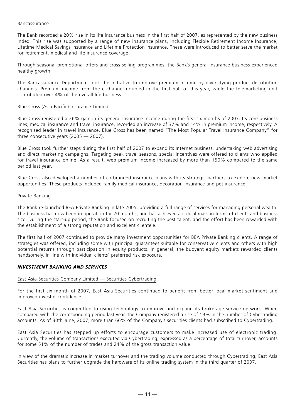# Bancassurance

The Bank recorded a 20% rise in its life insurance business in the first half of 2007, as represented by the new business index. This rise was supported by a range of new insurance plans, including Flexible Retirement Income Insurance, Lifetime Medical Savings Insurance and Lifetime Protection Insurance. These were introduced to better serve the market for retirement, medical and life insurance coverage.

Through seasonal promotional offers and cross-selling programmes, the Bank's general insurance business experienced healthy growth.

The Bancassurance Department took the initiative to improve premium income by diversifying product distribution channels. Premium income from the e-channel doubled in the first half of this year, while the telemarketing unit contributed over 4% of the overall life business.

#### Blue Cross (Asia-Pacific) Insurance Limited

Blue Cross registered a 26% gain in its general insurance income during the first six months of 2007. Its core business lines, medical insurance and travel insurance, recorded an increase of 37% and 14% in premium income, respectively. A recognised leader in travel insurance, Blue Cross has been named "The Most Popular Travel Insurance Company" for three consecutive years (2005 — 2007).

Blue Cross took further steps during the first half of 2007 to expand its Internet business, undertaking web advertising and direct marketing campaigns. Targeting peak travel seasons, special incentives were offered to clients who applied for travel insurance online. As a result, web premium income increased by more than 150% compared to the same period last year.

Blue Cross also developed a number of co-branded insurance plans with its strategic partners to explore new market opportunities. These products included family medical insurance, decoration insurance and pet insurance.

#### Private Banking

The Bank re-launched BEA Private Banking in late 2005, providing a full range of services for managing personal wealth. The business has now been in operation for 20 months, and has achieved a critical mass in terms of clients and business size. During the start-up period, the Bank focused on recruiting the best talent, and the effort has been rewarded with the establishment of a strong reputation and excellent clientele.

The first half of 2007 continued to provide many investment opportunities for BEA Private Banking clients. A range of strategies was offered, including some with principal guarantees suitable for conservative clients and others with high potential returns through participation in equity products. In general, the buoyant equity markets rewarded clients handsomely, in line with individual clients' preferred risk exposure.

# *INVESTMENT BANKING AND SERVICES*

#### East Asia Securities Company Limited — Securities Cybertrading

For the first six month of 2007, East Asia Securities continued to benefit from better local market sentiment and improved investor confidence.

East Asia Securities is committed to using technology to improve and expand its brokerage service network. When compared with the corresponding period last year, the Company registered a rise of 19% in the number of Cybertrading accounts. As of 30th June, 2007, more than 66% of the Company's securities clients had subscribed to Cybertrading.

East Asia Securities has stepped up efforts to encourage customers to make increased use of electronic trading. Currently, the volume of transactions executed via Cybertrading, expressed as a percentage of total turnover, accounts for some 51% of the number of trades and 24% of the gross transaction value.

In view of the dramatic increase in market turnover and the trading volume conducted through Cybertrading, East Asia Securities has plans to further upgrade the hardware of its online trading system in the third quarter of 2007.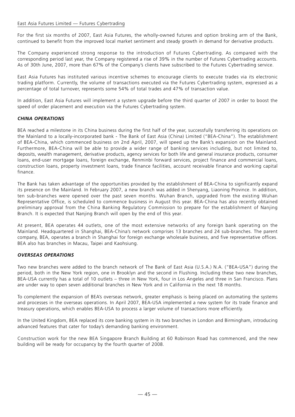# East Asia Futures Limited — Futures Cybertrading

For the first six months of 2007, East Asia Futures, the wholly-owned futures and option broking arm of the Bank, continued to benefit from the improved local market sentiment and steady growth in demand for derivative products.

The Company experienced strong response to the introduction of Futures Cybertrading. As compared with the corresponding period last year, the Company registered a rise of 39% in the number of Futures Cybertrading accounts. As of 30th June, 2007, more than 67% of the Company's clients have subscribed to the Futures Cybertrading service.

East Asia Futures has instituted various incentive schemes to encourage clients to execute trades via its electronic trading platform. Currently, the volume of transactions executed via the Futures Cybertrading system, expressed as a percentage of total turnover, represents some 54% of total trades and 47% of transaction value.

In addition, East Asia Futures will implement a system upgrade before the third quarter of 2007 in order to boost the speed of order placement and execution via the Futures Cybertrading system.

# *CHINA OPERATIONS*

BEA reached a milestone in its China business during the first half of the year, successfully transferring its operations on the Mainland to a locally-incorporated bank - The Bank of East Asia (China) Limited ("BEA-China"). The establishment of BEA-China, which commenced business on 2nd April, 2007, will speed up the Bank's expansion on the Mainland. Furthermore, BEA-China will be able to provide a wider range of banking services including, but not limited to, deposits, wealth management, derivative products, agency services for both life and general insurance products, consumer loans, end-user mortgage loans, foreign exchange, Renminbi forward services, project finance and commercial loans, construction loans, property investment loans, trade finance facilities, account receivable finance and working capital finance.

The Bank has taken advantage of the opportunities provided by the establishment of BEA-China to significantly expand its presence on the Mainland. In February 2007, a new branch was added in Shenyang, Liaoning Province. In addition, ten sub-branches were opened over the past seven months. Wuhan Branch, upgraded from the existing Wuhan Representative Office, is scheduled to commence business in August this year. BEA-China has also recently obtained preliminary approval from the China Banking Regulatory Commission to prepare for the establishment of Nanjing Branch. It is expected that Nanjing Branch will open by the end of this year.

At present, BEA operates 44 outlets, one of the most extensive networks of any foreign bank operating on the Mainland. Headquartered in Shanghai, BEA-China's network comprises 13 branches and 24 sub-branches. The parent company, BEA, operates a branch in Shanghai for foreign exchange wholesale business, and five representative offices. BEA also has branches in Macau, Taipei and Kaohsiung.

# *OVERSEAS OPERATIONS*

Two new branches were added to the branch network of The Bank of East Asia (U.S.A.) N.A. ("BEA-USA") during the period, both in the New York region, one in Brooklyn and the second in Flushing. Including these two new branches, BEA-USA currently has a total of 10 outlets – three in New York, four in Los Angeles and three in San Francisco. Plans are under way to open seven additional branches in New York and in California in the next 18 months.

To complement the expansion of BEA's overseas network, greater emphasis is being placed on automating the systems and processes in the overseas operations. In April 2007, BEA-USA implemented a new system for its trade finance and treasury operations, which enables BEA-USA to process a larger volume of transactions more efficiently.

In the United Kingdom, BEA replaced its core banking system in its two branches in London and Birmingham, introducing advanced features that cater for today's demanding banking environment.

Construction work for the new BEA Singapore Branch Building at 60 Robinson Road has commenced, and the new building will be ready for occupancy by the fourth quarter of 2008.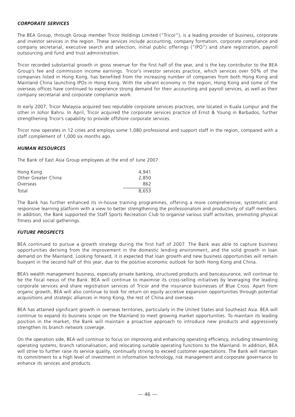# *CORPORATE SERVICES*

The BEA Group, through Group member Tricor Holdings Limited ("Tricor"), is a leading provider of business, corporate and investor services in the region. These services include accounting, company formation, corporate compliance and company secretarial, executive search and selection, initial public offerings ("IPO") and share registration, payroll outsourcing and fund and trust administration.

Tricor recorded substantial growth in gross revenue for the first half of the year, and is the key contributor to the BEA Group's fee and commission income earnings. Tricor's investor services practice, which services over 50% of the companies listed in Hong Kong, has benefited from the increasing number of companies from both Hong Kong and Mainland China launching IPOs in Hong Kong. With the vibrant economy in the region, Hong Kong and some of the overseas offices have continued to experience strong demand for their accounting and payroll services, as well as their company secretarial and corporate compliance work.

In early 2007, Tricor Malaysia acquired two reputable corporate services practices, one located in Kuala Lumpur and the other in Johor Bahru. In April, Tricor acquired the corporate services practice of Ernst & Young in Barbados, further strengthening Tricor's capability to provide offshore corporate services.

Tricor now operates in 12 cities and employs some 1,080 professional and support staff in the region, compared with a staff complement of 1,000 six months ago.

# *HUMAN RESOURCES*

The Bank of East Asia Group employees at the end of June 2007:

| Hong Kong           | 4.941 |
|---------------------|-------|
| Other Greater China | 2.850 |
| Overseas            | 862   |
| Total               | 8.653 |

The Bank has further enhanced its in-house training programmes, offering a more comprehensive, systematic and responsive learning platform with a view to better strengthening the professionalism and productivity of staff members. In addition, the Bank supported the Staff Sports Recreation Club to organise various staff activities, promoting physical fitness and social gatherings.

# *FUTURE PROSPECTS*

BEA continued to pursue a growth strategy during the first half of 2007. The Bank was able to capture business opportunities deriving from the improvement in the domestic lending environment, and the solid growth in loan demand on the Mainland. Looking forward, it is expected that loan growth and new business opportunities will remain buoyant in the second half of this year, due to the positive economic outlook for both Hong Kong and China.

BEA's wealth management business, especially private banking, structured products and bancassurance, will continue to be the focal nexus of the Bank. BEA will continue to maximise its cross-selling initiatives by leveraging the leading corporate services and share registration services of Tricor and the insurance businesses of Blue Cross. Apart from organic growth, BEA will also continue to look for return on equity accretive expansion opportunities through potential acquisitions and strategic alliances in Hong Kong, the rest of China and overseas.

BEA has attained significant growth in overseas territories, particularly in the United States and Southeast Asia. BEA will continue to expand its business scope on the Mainland to meet growing market opportunities. To maintain its leading position in the market, the Bank will maintain a proactive approach to introduce new products and aggressively strengthen its branch network coverage.

On the operation side, BEA will continue to focus on improving and enhancing operating efficiency, including streamlining operating systems, branch rationalisation, and relocating suitable operating functions to the Mainland. In addition, BEA will strive to further raise its service quality, continually striving to exceed customer expectations. The Bank will maintain its commitment to a high level of investment in information technology, risk management and corporate governance to enhance its services and products.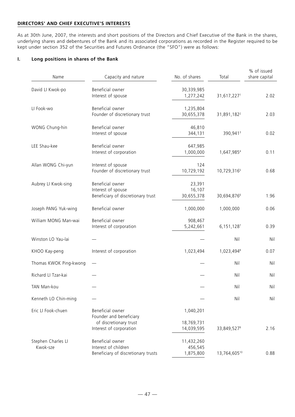# **DIRECTORS' AND CHIEF EXECUTIVE'S INTERESTS**

As at 30th June, 2007, the interests and short positions of the Directors and Chief Executive of the Bank in the shares, underlying shares and debentures of the Bank and its associated corporations as recorded in the Register required to be kept under section 352 of the Securities and Futures Ordinance (the "SFO") were as follows:

# **I. Long positions in shares of the Bank**

| Name                           | Capacity and nature                                                                              | No. of shares                         | Total                   | % of issued<br>share capital |
|--------------------------------|--------------------------------------------------------------------------------------------------|---------------------------------------|-------------------------|------------------------------|
| David LI Kwok-po               | Beneficial owner<br>Interest of spouse                                                           | 30,339,985<br>1,277,242               | 31,617,2271             | 2.02                         |
| LI Fook-wo                     | Beneficial owner<br>Founder of discretionary trust                                               | 1,235,804<br>30,655,378               | 31,891,182 <sup>2</sup> | 2.03                         |
| WONG Chung-hin                 | Beneficial owner<br>Interest of spouse                                                           | 46,810<br>344,131                     | 390,9413                | 0.02                         |
| LEE Shau-kee                   | Beneficial owner<br>Interest of corporation                                                      | 647,985<br>1,000,000                  | 1,647,9854              | 0.11                         |
| Allan WONG Chi-yun             | Interest of spouse<br>Founder of discretionary trust                                             | 124<br>10,729,192                     | 10,729,3165             | 0.68                         |
| Aubrey LI Kwok-sing            | Beneficial owner<br>Interest of spouse<br>Beneficiary of discretionary trust                     | 23,391<br>16,107<br>30,655,378        | 30,694,8766             | 1.96                         |
| Joseph PANG Yuk-wing           | Beneficial owner                                                                                 | 1,000,000                             | 1,000,000               | 0.06                         |
| William MONG Man-wai           | Beneficial owner<br>Interest of corporation                                                      | 908,467<br>5,242,661                  | 6,151,1287              | 0.39                         |
| Winston LO Yau-lai             |                                                                                                  |                                       | Nil                     | Nil                          |
| KHOO Kay-peng                  | Interest of corporation                                                                          | 1,023,494                             | 1,023,4948              | 0.07                         |
| Thomas KWOK Ping-kwong         |                                                                                                  |                                       | Nil                     | Nil                          |
| Richard LI Tzar-kai            |                                                                                                  |                                       | Nil                     | Nil                          |
| TAN Man-kou                    |                                                                                                  |                                       | Nil                     | Nil                          |
| Kenneth LO Chin-ming           |                                                                                                  |                                       | Nil                     | Nil                          |
| Eric LI Fook-chuen             | Beneficial owner<br>Founder and beneficiary<br>of discretionary trust<br>Interest of corporation | 1,040,201<br>18,769,731<br>14,039,595 | 33,849,527 <sup>9</sup> | 2.16                         |
| Stephen Charles LI<br>Kwok-sze | Beneficial owner<br>Interest of children<br>Beneficiary of discretionary trusts                  | 11,432,260<br>456,545<br>1,875,800    | 13,764,60510            | 0.88                         |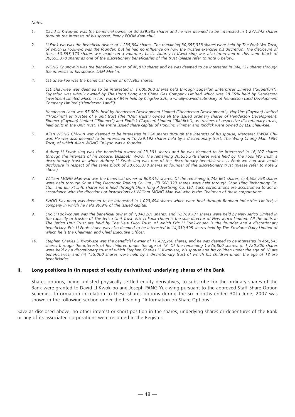#### *Notes:*

- *1. David LI Kwok-po was the beneficial owner of 30,339,985 shares and he was deemed to be interested in 1,277,242 shares through the interests of his spouse, Penny POON Kam-chui.*
- *2. LI Fook-wo was the beneficial owner of 1,235,804 shares. The remaining 30,655,378 shares were held by The Fook Wo Trust, of which LI Fook-wo was the founder, but he had no influence on how the trustee exercises his discretion. The disclosure of these 30,655,378 shares was made on a voluntary basis. Aubrey LI Kwok-sing was also interested in this same block of 30,655,378 shares as one of the discretionary beneficiaries of the trust (please refer to note 6 below).*
- *3. WONG Chung-hin was the beneficial owner of 46,810 shares and he was deemed to be interested in 344,131 shares through the interests of his spouse, LAM Mei-lin.*
- *4. LEE Shau-kee was the beneficial owner of 647,985 shares.*

*LEE Shau-kee was deemed to be interested in 1,000,000 shares held through Superfun Enterprises Limited ("Superfun"). Superfun was wholly owned by The Hong Kong and China Gas Company Limited which was 38.55% held by Henderson Investment Limited which in turn was 67.94% held by Kingslee S.A., a wholly-owned subsidiary of Henderson Land Development Company Limited ("Henderson Land").*

*Henderson Land was 57.80% held by Henderson Development Limited ("Henderson Development"). Hopkins (Cayman) Limited ("Hopkins") as trustee of a unit trust (the "Unit Trust") owned all the issued ordinary shares of Henderson Development. Rimmer (Cayman) Limited ("Rimmer") and Riddick (Cayman) Limited ("Riddick"), as trustees of respective discretionary trusts, held units in the Unit Trust. The entire issued share capital of Hopkins, Rimmer and Riddick were owned by LEE Shau-kee.*

- *5. Allan WONG Chi-yun was deemed to be interested in 124 shares through the interests of his spouse, Margaret KWOK Chiwai. He was also deemed to be interested in 10,729,192 shares held by a discretionary trust, The Wong Chung Man 1984 Trust, of which Allan WONG Chi-yun was a founder.*
- *6. Aubrey LI Kwok-sing was the beneficial owner of 23,391 shares and he was deemed to be interested in 16,107 shares through the interests of his spouse, Elizabeth WOO. The remaining 30,655,378 shares were held by The Fook Wo Trust, a discretionary trust in which Aubrey LI Kwok-sing was one of the discretionary beneficiaries. LI Fook-wo had also made disclosure in respect of the same block of 30,655,378 shares as founder of the discretionary trust (please refer to note 2 above).*
- *7. William MONG Man-wai was the beneficial owner of 908,467 shares. Of the remaining 5,242,661 shares, (i) 4,502,798 shares were held through Shun Hing Electronic Trading Co. Ltd., (ii) 668,323 shares were held through Shun Hing Technology Co. Ltd., and (iii) 71,540 shares were held through Shun Hing Advertising Co. Ltd. Such corporations are accustomed to act in accordance with the directions or instructions of William MONG Man-wai who is the Chairman of these corporations.*
- *8. KHOO Kay-peng was deemed to be interested in 1,023,494 shares which were held through Bonham Industries Limited, a company in which he held 99.9% of the issued capital.*
- *9. Eric LI Fook-chuen was the beneficial owner of 1,040,201 shares, and 18,769,731 shares were held by New Jerico Limited in the capacity of trustee of The Jerico Unit Trust. Eric LI Fook-chuen is the sole director of New Jerico Limited. All the units in The Jerico Unit Trust are held by The New Elico Trust, of which Eric LI Fook-chuen is the founder and a discretionary beneficiary. Eric LI Fook-chuen was also deemed to be interested in 14,039,595 shares held by The Kowloon Dairy Limited of which he is the Chairman and Chief Executive Officer.*
- *10. Stephen Charles LI Kwok-sze was the beneficial owner of 11,432,260 shares, and he was deemed to be interested in 456,545 shares through the interests of his children under the age of 18. Of the remaining 1,875,800 shares, (i) 1,720,800 shares were held by a discretionary trust of which Stephen Charles LI Kwok-sze, his spouse and his children under the age of 18 are beneficiaries; and (ii) 155,000 shares were held by a discretionary trust of which his children under the age of 18 are beneficiaries.*

#### **II. Long positions in (in respect of equity derivatives) underlying shares of the Bank**

Shares options, being unlisted physically settled equity derivatives, to subscribe for the ordinary shares of the Bank were granted to David LI Kwok-po and Joseph PANG Yuk-wing pursuant to the approved Staff Share Option Schemes. Information in relation to these shares options during the six months ended 30th June, 2007 was shown in the following section under the heading "Information on Share Options".

Save as disclosed above, no other interest or short position in the shares, underlying shares or debentures of the Bank or any of its associated corporations were recorded in the Register.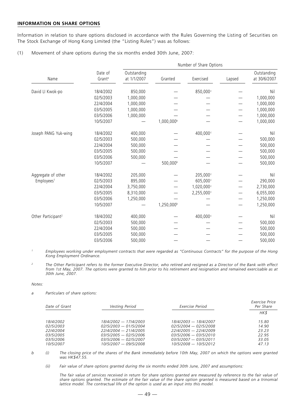## **INFORMATION ON SHARE OPTIONS**

Information in relation to share options disclosed in accordance with the Rules Governing the Listing of Securities on The Stock Exchange of Hong Kong Limited (the "Listing Rules") was as follows:

(1) Movement of share options during the six months ended 30th June, 2007:

|                                | Number of Share Options       |                            |                        |            |        |                             |  |  |
|--------------------------------|-------------------------------|----------------------------|------------------------|------------|--------|-----------------------------|--|--|
| Name                           | Date of<br>Grant <sup>a</sup> | Outstanding<br>at 1/1/2007 | Granted                | Exercised  | Lapsed | Outstanding<br>at 30/6/2007 |  |  |
| David LI Kwok-po               | 18/4/2002                     | 850,000                    |                        | 850,000c   |        | Nil                         |  |  |
|                                | 02/5/2003                     | 1,000,000                  |                        |            |        | 1,000,000                   |  |  |
|                                | 22/4/2004                     | 1,000,000                  |                        |            |        | 1,000,000                   |  |  |
|                                | 03/5/2005                     | 1,000,000                  |                        |            |        | 1,000,000                   |  |  |
|                                | 03/5/2006                     | 1,000,000                  |                        |            |        | 1,000,000                   |  |  |
|                                | 10/5/2007                     |                            | 1,000,000 <sup>b</sup> |            |        | 1,000,000                   |  |  |
| Joseph PANG Yuk-wing           | 18/4/2002                     | 400,000                    |                        | 400,000    |        | Nil                         |  |  |
|                                | 02/5/2003                     | 500,000                    |                        |            |        | 500,000                     |  |  |
|                                | 22/4/2004                     | 500,000                    |                        |            |        | 500,000                     |  |  |
|                                | 03/5/2005                     | 500,000                    |                        |            |        | 500,000                     |  |  |
|                                | 03/5/2006                     | 500,000                    |                        |            |        | 500,000                     |  |  |
|                                | 10/5/2007                     |                            | 500,000b               |            |        | 500,000                     |  |  |
| Aggregate of other             | 18/4/2002                     | 205,000                    |                        | 205,000c   |        | Nil                         |  |  |
| Employees <sup>1</sup>         | 02/5/2003                     | 895,000                    |                        | 605,000c   |        | 290,000                     |  |  |
|                                | 22/4/2004                     | 3,750,000                  |                        | 1,020,000  |        | 2,730,000                   |  |  |
|                                | 03/5/2005                     | 8,310,000                  |                        | 2,255,000c |        | 6,055,000                   |  |  |
|                                | 03/5/2006                     | 1,250,000                  |                        |            |        | 1,250,000                   |  |  |
|                                | 10/5/2007                     |                            | 1,250,000 <sup>b</sup> |            |        | 1,250,000                   |  |  |
| Other Participant <sup>2</sup> | 18/4/2002                     | 400,000                    |                        | 400,000c   |        | Nil                         |  |  |
|                                | 02/5/2003                     | 500,000                    |                        |            |        | 500,000                     |  |  |
|                                | 22/4/2004                     | 500,000                    |                        |            |        | 500,000                     |  |  |
|                                | 03/5/2005                     | 500,000                    |                        |            |        | 500,000                     |  |  |
|                                | 03/5/2006                     | 500,000                    |                        |            |        | 500,000                     |  |  |

*<sup>1</sup> Employees working under employment contracts that were regarded as "Continuous Contracts" for the purpose of the Hong Kong Employment Ordinance.*

*<sup>2</sup> The Other Participant refers to the former Executive Director, who retired and resigned as a Director of the Bank with effect from 1st May, 2007. The options were granted to him prior to his retirement and resignation and remained exercisable as at 30th June, 2007.*

#### *Notes:*

*a Particulars of share options:*

| Exercise Price<br>Per Share |  |
|-----------------------------|--|
| HK\$                        |  |
| 15.80                       |  |
| 14.90                       |  |
| 23 23                       |  |
| 2295                        |  |
| 33.05                       |  |
| 47.13                       |  |
|                             |  |

*b (i) The closing price of the shares of the Bank immediately before 10th May, 2007 on which the options were granted was HK\$47.55.*

*(ii) Fair value of share options granted during the six months ended 30th June, 2007 and assumptions:*

*The fair value of services received in return for share options granted are measured by reference to the fair value of share options granted. The estimate of the fair value of the share option granted is measured based on a trinomial lattice model. The contractual life of the option is used as an input into this model.*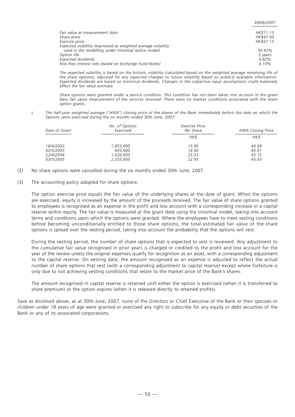| Fair value at measurement date                                | HK\$11.13 |
|---------------------------------------------------------------|-----------|
| Share price                                                   | HK\$47.00 |
| Exercise price                                                | HK\$47.13 |
| Expected volatility (expressed as weighted average volatility |           |
| used in the modelling under trinomial lattice model)          | $30.92\%$ |
| Option life                                                   | 5 years   |
| Expected dividends                                            | 4.82%     |
| Risk-free interest rate (based on Exchange Fund Notes)        | $4.10\%$  |

*30/06/2007*

*The expected volatility is based on the historic volatility (calculated based on the weighted average remaining life of the share options), adjusted for any expected changes to future volatility based on publicly available information. Expected dividends are based on historical dividends. Changes in the subjective input assumptions could materially affect the fair value estimate.*

*Share options were granted under a service condition. This condition has not been taken into account in the grant date fair value measurement of the services received. There were no market conditions associated with the share option grants.*

*c The half-year weighted average ("HWA") closing price of the shares of the Bank immediately before the date on which the Options were exercised during the six months ended 30th June, 2007:*

| Date of Grant | No. of Options<br>Exercised | Exercise Price<br>Per Share | <b>HWA Closing Price</b> |
|---------------|-----------------------------|-----------------------------|--------------------------|
|               |                             | HK\$                        | HK\$                     |
| 18/4/2002     | 1,855,000                   | 15.80                       | 44.99                    |
| 02/5/2003     | 605.000                     | 14.90                       | 45.61                    |
| 22/4/2004     | 1,020,000                   | 23.23                       | 45.72                    |
| 03/5/2005     | 2,255,000                   | 22.95                       | 45.83                    |

- (2) No share options were cancelled during the six months ended 30th June, 2007.
- (3) The accounting policy adopted for share options:

The option exercise price equals the fair value of the underlying shares at the date of grant. When the options are exercised, equity is increased by the amount of the proceeds received. The fair value of share options granted to employees is recognised as an expense in the profit and loss account with a corresponding increase in a capital reserve within equity. The fair value is measured at the grant date using the trinomial model, taking into account terms and conditions upon which the options were granted. Where the employees have to meet vesting conditions before becoming unconditionally entitled to those share options, the total estimated fair value of the share options is spread over the vesting period, taking into account the probability that the options will vest.

During the vesting period, the number of share options that is expected to vest is reviewed. Any adjustment to the cumulative fair value recognised in prior years is charged or credited to the profit and loss account for the year of the review unless the original expenses qualify for recognition as an asset, with a corresponding adjustment to the capital reserve. On vesting date, the amount recognised as an expense is adjusted to reflect the actual number of share options that vest (with a corresponding adjustment to capital reserve) except where forfeiture is only due to not achieving vesting conditions that relate to the market price of the Bank's shares.

The amount recognised in capital reserve is retained until either the option is exercised (when it is transferred to share premium) or the option expires (when it is released directly to retained profits).

Save as disclosed above, as at 30th June, 2007, none of the Directors or Chief Executive of the Bank or their spouses or children under 18 years of age were granted or exercised any right to subscribe for any equity or debt securities of the Bank or any of its associated corporations.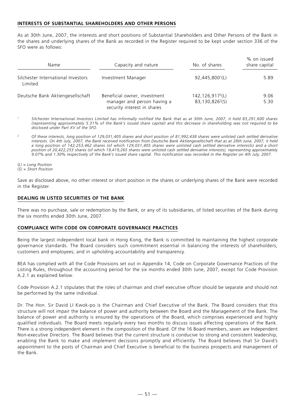# **INTERESTS OF SUBSTANTIAL SHAREHOLDERS AND OTHER PERSONS**

As at 30th June, 2007, the interests and short positions of Substantial Shareholders and Other Persons of the Bank in the shares and underlying shares of the Bank as recorded in the Register required to be kept under section 336 of the SFO were as follows:

| Name                                          | Capacity and nature                                                                        | No. of shares                                               | % on issued<br>share capital |
|-----------------------------------------------|--------------------------------------------------------------------------------------------|-------------------------------------------------------------|------------------------------|
| Silchester International Investors<br>Limited | Investment Manager                                                                         | 92,445,800 <sup>1</sup> (L)                                 | 5.89                         |
| Deutsche Bank Aktiengesellschaft              | Beneficial owner, investment<br>manager and person having a<br>security interest in shares | 142,126,917 <sup>2</sup> (L)<br>83,130,826 <sup>2</sup> (S) | 9.06<br>5.30                 |

- *<sup>1</sup> Silchester International Investors Limited has informally notified the Bank that as at 30th June, 2007, it held 83,291,600 shares (representing approximately 5.31% of the Bank's issued share capital) and this decrease in shareholding was not required to be disclosed under Part XV of the SFO.*
- *<sup>2</sup> Of these interests, long position of 129,031,405 shares and short position of 81,992,438 shares were unlisted cash settled derivative interests. On 4th July, 2007, the Bank received notification from Deutsche Bank Aktiengesellschaft that as at 28th June, 2007, it held a long position of 142,253,462 shares (of which 129,031,405 shares were unlisted cash settled derivative interests) and a short position of 20,422,253 shares (of which 19,419,265 shares were unlisted cash settled derivative interests), representing approximately 9.07% and 1.30% respectively of the Bank's issued share capital. This notification was recorded in the Register on 4th July, 2007.*

*(L) = Long Position (S) = Short Position*

Save as disclosed above, no other interest or short position in the shares or underlying shares of the Bank were recorded in the Register.

#### **DEALING IN LISTED SECURITIES OF THE BANK**

There was no purchase, sale or redemption by the Bank, or any of its subsidiaries, of listed securities of the Bank during the six months ended 30th June, 2007.

#### **COMPLIANCE WITH CODE ON CORPORATE GOVERNANCE PRACTICES**

Being the largest independent local bank in Hong Kong, the Bank is committed to maintaining the highest corporate governance standards. The Board considers such commitment essential in balancing the interests of shareholders, customers and employees; and in upholding accountability and transparency.

BEA has complied with all the Code Provisions set out in Appendix 14, Code on Corporate Governance Practices of the Listing Rules, throughout the accounting period for the six months ended 30th June, 2007, except for Code Provision A.2.1 as explained below.

Code Provision A.2.1 stipulates that the roles of chairman and chief executive officer should be separate and should not be performed by the same individual.

Dr. The Hon. Sir David LI Kwok-po is the Chairman and Chief Executive of the Bank. The Board considers that this structure will not impair the balance of power and authority between the Board and the Management of the Bank. The balance of power and authority is ensured by the operations of the Board, which comprises experienced and highly qualified individuals. The Board meets regularly every two months to discuss issues affecting operations of the Bank. There is a strong independent element in the composition of the Board. Of the 16 Board members, seven are Independent Non-executive Directors. The Board believes that the current structure is conducive to strong and consistent leadership, enabling the Bank to make and implement decisions promptly and efficiently. The Board believes that Sir David's appointment to the posts of Chairman and Chief Executive is beneficial to the business prospects and management of the Bank.